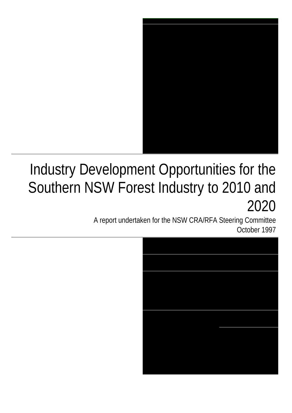

# Industry Development Opportunities for the Southern NSW Forest Industry to 2010 and 2020

A report undertaken for the NSW CRA/RFA Steering Committee October 1997

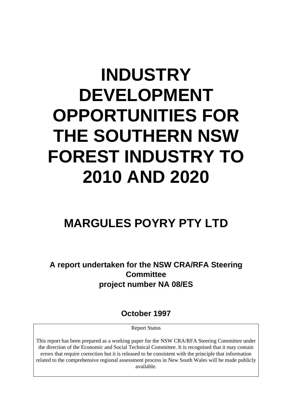# **INDUSTRY DEVELOPMENT OPPORTUNITIES FOR THE SOUTHERN NSW FOREST INDUSTRY TO 2010 AND 2020**

# **MARGULES POYRY PTY LTD**

**A report undertaken for the NSW CRA/RFA Steering Committee project number NA 08/ES**

**October 1997**

Report Status

This report has been prepared as a working paper for the NSW CRA/RFA Steering Committee under the direction of the Economic and Social Technical Committee. It is recognised that it may contain errors that require correction but it is released to be consistent with the principle that information related to the comprehensive regional assessment process in New South Wales will be made publicly available.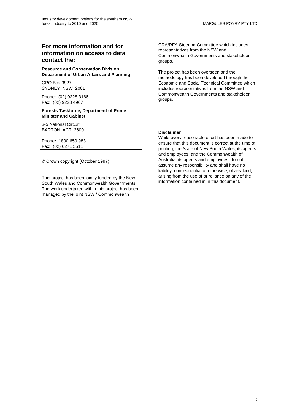#### **For more information and for information on access to data contact the:**

**Resource and Conservation Division, Department of Urban Affairs and Planning**

GPO Box 3927 SYDNEY NSW 2001

Phone: (02) 9228 3166 Fax: (02) 9228 4967

**Forests Taskforce, Department of Prime Minister and Cabinet**

3-5 National Circuit BARTON ACT 2600

Phone**:** 1800 650 983 Fax: (02) 6271 5511

© Crown copyright (October 1997)

This project has been jointly funded by the New South Wales and Commonwealth Governments. The work undertaken within this project has been managed by the joint NSW / Commonwealth

CRA/RFA Steering Committee which includes representatives from the NSW and Commonwealth Governments and stakeholder groups.

The project has been overseen and the methodology has been developed through the Economic and Social Technical Committee which includes representatives from the NSW and Commonwealth Governments and stakeholder groups.

#### **Disclaimer**

While every reasonable effort has been made to ensure that this document is correct at the time of printing, the State of New South Wales, its agents and employees, and the Commonwealth of Australia, its agents and employees, do not assume any responsibility and shall have no liability, consequential or otherwise, of any kind, arising from the use of or reliance on any of the information contained in in this document.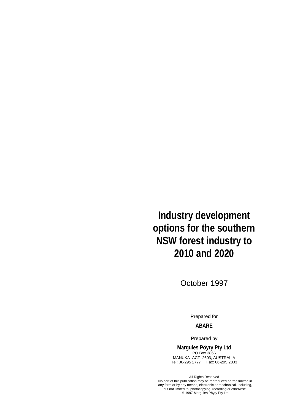**Industry development options for the southern NSW forest industry to 2010 and 2020**

October 1997

Prepared for

#### **ABARE**

Prepared by

**Margules Pöyry Pty Ltd** PO Box 3866

MANUKA ACT 2603, AUSTRALIA Tel: 06-295 2777 Fax: 06-295 2803

All Rights Reserved No part of this publication may be reproduced or transmitted in any form or by any means, electronic or mechanical, including, but not limited to, photocopying, recording or otherwise. © 1997 Margules Pöyry Pty Ltd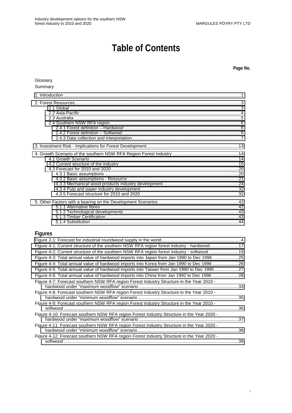# **Table of Contents**

**Page No.**

#### Glossary

#### Summary

#### **Figures**

| Figure 4-1: Current structure of the southern NSW RFA region forest industry - hardwood17  |  |
|--------------------------------------------------------------------------------------------|--|
| Figure 4-2: Current structure of the southern NSW RFA region forest industry - softwood19  |  |
| Figure 4-3: Total annual value of hardwood imports into Japan from Jan 1990 to Dec 199625  |  |
| Figure 4-4: Total annual value of hardwood imports into Korea from Jan 1990 to Dec 199626  |  |
| Figure 4-5: Total annual value of hardwood imports into Taiwan from Jan 1990 to Dec 199527 |  |
| Figure 4-6: Total annual value of hardwood imports into China from Jan 1992 to Dec 1996 28 |  |
| Figure 4-7: Forecast southern NSW RFA region Forest Industry Structure in the Year 2010 -  |  |
| Figure 4-8: Forecast southern NSW RFA region Forest Industry Structure in the Year 2010 -  |  |
| Figure 4-9: Forecast southern NSW RFA region Forest Industry Structure in the Year 2010 -  |  |
| Figure 4-10: Forecast southern NSW RFA region Forest Industry Structure in the Year 2020 - |  |
| Figure 4-11: Forecast southern NSW RFA region Forest Industry Structure in the Year 2020 - |  |
| Figure 4-12: Forecast southern NSW RFA region Forest Industry Structure in the Year 2020 - |  |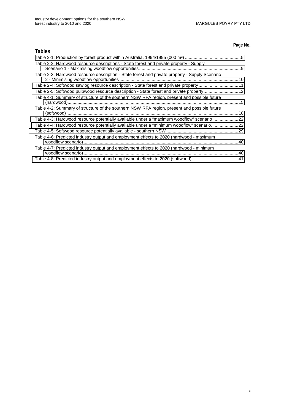#### **Page No.**

| <b>Tables</b>                                                                                  |  |
|------------------------------------------------------------------------------------------------|--|
|                                                                                                |  |
| Table 2-2: Hardwood resource descriptions - State forest and private property - Supply         |  |
| Table 2-3: Hardwood resource description - State forest and private property - Supply Scenario |  |
| Table 2-4: Softwood sawlog resource description - State forest and private property11          |  |
| Table 2-5: Softwood pulpwood resource description - State forest and private property 12       |  |
| Table 4-1: Summary of structure of the southern NSW RFA region, present and possible future    |  |
| Table 4-2: Summary of structure of the southern NSW RFA region, present and possible future    |  |
| Table 4-3: Hardwood resource potentially available under a "maximum woodflow" scenario22       |  |
| Table 4-4: Hardwood resource potentially available under a "minimum woodflow" scenario22       |  |
|                                                                                                |  |
| Table 4-6: Predicted industry output and employment effects to 2020 (hardwood - maximum        |  |
| Table 4-7: Predicted industry output and employment effects to 2020 (hardwood - minimum        |  |
| Table 4-8: Predicted industry output and employment effects to 2020 (softwood) 41              |  |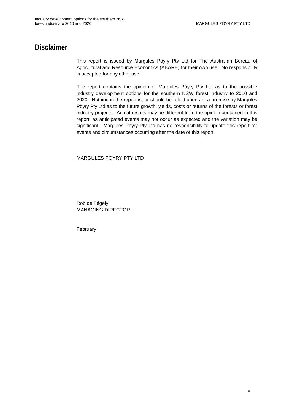### **Disclaimer**

This report is issued by Margules Pöyry Pty Ltd for The Australian Bureau of Agricultural and Resource Economics (ABARE) for their own use. No responsibility is accepted for any other use.

The report contains the opinion of Margules Pöyry Pty Ltd as to the possible industry development options for the southern NSW forest industry to 2010 and 2020. Nothing in the report is, or should be relied upon as, a promise by Margules Pöyry Pty Ltd as to the future growth, yields, costs or returns of the forests or forest industry projects. Actual results may be different from the opinion contained in this report, as anticipated events may not occur as expected and the variation may be significant. Margules Pöyry Pty Ltd has no responsibility to update this report for events and circumstances occurring after the date of this report.

#### MARGULES PÖYRY PTY LTD

Rob de Fégely MANAGING DIRECTOR

February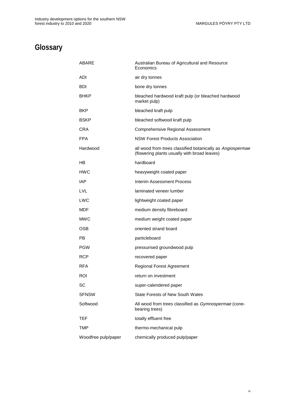# **Glossary**

| ABARE               | Australian Bureau of Agricultural and Resource<br>Economics                                                |
|---------------------|------------------------------------------------------------------------------------------------------------|
| ADt                 | air dry tonnes                                                                                             |
| <b>BDt</b>          | bone dry tonnes                                                                                            |
| <b>BHKP</b>         | bleached hardwood kraft pulp (or bleached hardwood<br>market pulp)                                         |
| <b>BKP</b>          | bleached kraft pulp                                                                                        |
| <b>BSKP</b>         | bleached softwood kraft pulp                                                                               |
| CRA                 | <b>Comprehensive Regional Assessment</b>                                                                   |
| <b>FPA</b>          | <b>NSW Forest Products Association</b>                                                                     |
| Hardwood            | all wood from trees classified botanically as Angiospermae<br>(flowering plants usually with broad leaves) |
| HB                  | hardboard                                                                                                  |
| <b>HWC</b>          | heavyweight coated paper                                                                                   |
| <b>IAP</b>          | Interim Assessment Process                                                                                 |
| <b>LVL</b>          | laminated veneer lumber                                                                                    |
| <b>LWC</b>          | lightweight coated paper                                                                                   |
| MDF                 | medium density fibreboard                                                                                  |
| <b>MWC</b>          | medium weight coated paper                                                                                 |
| <b>OSB</b>          | oriented strand board                                                                                      |
| РB                  | particleboard                                                                                              |
| <b>PGW</b>          | pressurised groundwood pulp                                                                                |
| <b>RCP</b>          | recovered paper                                                                                            |
| <b>RFA</b>          | <b>Regional Forest Agreement</b>                                                                           |
| ROI                 | return on investment                                                                                       |
| SC                  | super-calendered paper                                                                                     |
| <b>SFNSW</b>        | <b>State Forests of New South Wales</b>                                                                    |
| Softwood            | All wood from trees classified as Gymnospermae (cone-<br>bearing trees)                                    |
| TEF                 | totally effluent free                                                                                      |
| <b>TMP</b>          | thermo-mechanical pulp                                                                                     |
| Woodfree pulp/paper | chemically produced pulp/paper                                                                             |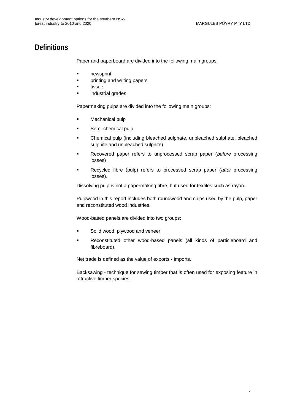## **Definitions**

Paper and paperboard are divided into the following main groups:

- **newsprint**
- **•** printing and writing papers
- tissue
- industrial grades.

Papermaking pulps are divided into the following main groups:

- Mechanical pulp
- **Semi-chemical pulp**
- Chemical pulp (including bleached sulphate, unbleached sulphate, bleached sulphite and unbleached sulphite)
- Recovered paper refers to unprocessed scrap paper (before processing losses)
- Recycled fibre (pulp) refers to processed scrap paper (after processing losses).

Dissolving pulp is not a papermaking fibre, but used for textiles such as rayon.

Pulpwood in this report includes both roundwood and chips used by the pulp, paper and reconstituted wood industries.

Wood-based panels are divided into two groups:

- **Solid wood, plywood and veneer**
- Reconstituted other wood-based panels (all kinds of particleboard and fibreboard).

Net trade is defined as the value of exports - imports.

Backsawing - technique for sawing timber that is often used for exposing feature in attractive timber species.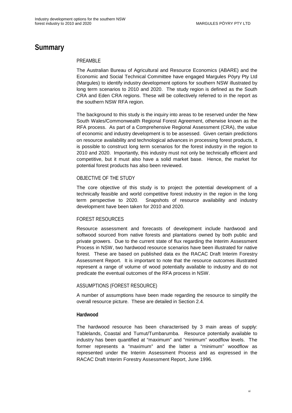### **Summary**

#### PRFAMBLF

The Australian Bureau of Agricultural and Resource Economics (ABARE) and the Economic and Social Technical Committee have engaged Margules Pöyry Pty Ltd (Margules) to identify industry development options for southern NSW illustrated by long term scenarios to 2010 and 2020. The study region is defined as the South CRA and Eden CRA regions. These will be collectively referred to in the report as the southern NSW RFA region.

The background to this study is the inquiry into areas to be reserved under the New South Wales/Commonwealth Regional Forest Agreement, otherwise known as the RFA process. As part of a Comprehensive Regional Assessment (CRA), the value of economic and industry development is to be assessed. Given certain predictions on resource availability and technological advances in processing forest products, it is possible to construct long term scenarios for the forest industry in the region to 2010 and 2020. Importantly, this industry must not only be technically efficient and competitive, but it must also have a solid market base. Hence, the market for potential forest products has also been reviewed.

#### OBJECTIVE OF THE STUDY

The core objective of this study is to project the potential development of a technically feasible and world competitive forest industry in the region in the long term perspective to 2020. Snapshots of resource availability and industry development have been taken for 2010 and 2020.

#### FOREST RESOURCES

Resource assessment and forecasts of development include hardwood and softwood sourced from native forests and plantations owned by both public and private growers. Due to the current state of flux regarding the Interim Assessment Process in NSW, two hardwood resource scenarios have been illustrated for native forest. These are based on published data ex the RACAC Draft Interim Forestry Assessment Report. It is important to note that the resource outcomes illustrated represent a range of volume of wood potentially available to industry and do not predicate the eventual outcomes of the RFA process in NSW.

#### ASSUMPTIONS (FOREST RESOURCE)

A number of assumptions have been made regarding the resource to simplify the overall resource picture. These are detailed in Section 2.4.

#### **Hardwood**

The hardwood resource has been characterised by 3 main areas of supply: Tablelands, Coastal and Tumut/Tumbarumba. Resource potentially available to industry has been quantified at "maximum" and "minimum" woodflow levels. The former represents a "maximum" and the latter a "minimum" woodflow as represented under the Interim Assessment Process and as expressed in the RACAC Draft Interim Forestry Assessment Report, June 1996.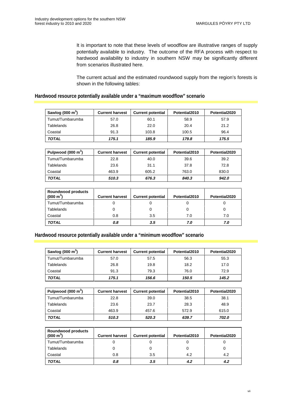It is important to note that these levels of woodflow are illustrative ranges of supply potentially available to industry. The outcome of the RFA process with respect to hardwood availability to industry in southern NSW may be significantly different from scenarios illustrated here.

The current actual and the estimated roundwood supply from the region's forests is shown in the following tables:

#### **Hardwood resource potentially available under a "maximum woodflow" scenario**

| Sawlog (000 $m3$ ) | <b>Current harvest</b> | <b>Current potential</b> | Potential2010 | Potential2020 |  |
|--------------------|------------------------|--------------------------|---------------|---------------|--|
| Tumut/Tumbarumba   | 57.0                   | 60.1                     | 58.9          | 57.9          |  |
| <b>Tablelands</b>  | 26.8                   | 22.0<br>20.4             |               | 21.2          |  |
| Coastal            | 91.3                   | 103.8                    | 100.5         | 96.4          |  |
| <b>TOTAL</b>       | 175.1                  | 185.9                    | 179.8         | 175.5         |  |

| Pulpwood $(000 \text{ m}^3)$ | <b>Current harvest</b> | <b>Current potential</b> | Potential2010 | Potential2020 |  |
|------------------------------|------------------------|--------------------------|---------------|---------------|--|
| Tumut/Tumbarumba             | 22.8                   | 40.0                     | 39.6          | 39.2          |  |
| <b>Tablelands</b>            | 23.6                   | 31.1                     | 37.8          | 72.8          |  |
| Coastal<br>463.9             |                        | 605.2                    | 763.0         | 830.0         |  |
| TOTAL                        | 510.3                  | 676.3                    | 840.3         | 942.0         |  |

| <b>Roundwood products</b><br>$(000 \text{ m}^3)$ | <b>Current harvest</b> | <b>Current potential</b> | Potential2010 | Potential2020 |
|--------------------------------------------------|------------------------|--------------------------|---------------|---------------|
| Tumut/Tumbarumba                                 |                        |                          |               |               |
| <b>Tablelands</b>                                |                        |                          |               |               |
| Coastal                                          | 0.8                    | 3.5                      | 7.0           | 7.0           |
| <b>TOTAL</b>                                     | 0.8                    | 3.5                      | 7.0           | 7.0           |

#### **Hardwood resource potentially available under a "minimum woodflow" scenario**

| Sawlog $(000 \text{ m}^3)$ | <b>Current harvest</b><br><b>Current potential</b> |       | Potential2010 | Potential2020 |  |
|----------------------------|----------------------------------------------------|-------|---------------|---------------|--|
| Tumut/Tumbarumba           | 57.0                                               | 57.5  | 56.3          | 55.3          |  |
| <b>Tablelands</b>          | 26.8                                               | 19.8  | 18.2          | 17.0          |  |
| Coastal                    | 91.3                                               | 79.3  | 76.0          | 72.9          |  |
| TOTAL                      | 175.1                                              | 156.6 | 150.5         | 145.2         |  |

| Pulpwood $(000 \text{ m}^3)$ | <b>Current harvest</b> | <b>Current potential</b> | Potential2010 | Potential2020 |  |
|------------------------------|------------------------|--------------------------|---------------|---------------|--|
| Tumut/Tumbarumba             | 22.8                   | 39.0                     | 38.5          | 38.1          |  |
| Tablelands<br>23.6           |                        | 28.3<br>23.7             |               | 48.9          |  |
| Coastal<br>463.9             |                        | 457.6                    | 572.9         | 615.0         |  |
| <b>TOTAL</b>                 | 510.3                  | 520.3                    | 639.7         | 702.0         |  |

| <b>Roundwood products</b><br>$(000 \text{ m}^3)$ | <b>Current harvest</b> | <b>Current potential</b> | Potential2010 | Potential2020 |
|--------------------------------------------------|------------------------|--------------------------|---------------|---------------|
| Tumut/Tumbarumba                                 |                        |                          |               |               |
| <b>Tablelands</b>                                |                        |                          |               |               |
| Coastal                                          | 0.8                    | 3.5                      | 4.2           | 4.2           |
| <b>TOTAL</b>                                     | 0.8                    | 3.5                      | 4.2           | 4.2           |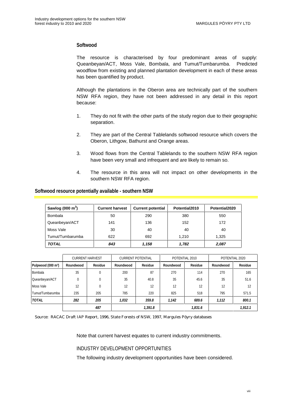#### **Softwood**

The resource is characterised by four predominant areas of supply: Queanbeyan/ACT, Moss Vale, Bombala, and Tumut/Tumbarumba. Predicted woodflow from existing and planned plantation development in each of these areas has been quantified by product.

Although the plantations in the Oberon area are technically part of the southern NSW RFA region, they have not been addressed in any detail in this report because:

- 1. They do not fit with the other parts of the study region due to their geographic separation.
- 2. They are part of the Central Tablelands softwood resource which covers the Oberon, Lithgow, Bathurst and Orange areas.
- 3. Wood flows from the Central Tablelands to the southern NSW RFA region have been very small and infrequent and are likely to remain so.
- 4. The resource in this area will not impact on other developments in the southern NSW RFA region.

#### **Softwood resource potentially available - southern NSW**

| Sawlog (000 $m3$ ) | <b>Current harvest</b> | <b>Current potential</b> | Potential2010 | Potential2020 |
|--------------------|------------------------|--------------------------|---------------|---------------|
| <b>Bombala</b>     | 50                     | 290                      | 380           | 550           |
| Queanbeyan/ACT     | 141                    | 136                      | 152           | 172           |
| Moss Vale          | 30                     | 40                       | 40            | 40            |
| Tumut/Tumbarumba   | 622                    | 692                      | 1.210         | 1,325         |
| <b>TOTAL</b>       | 843                    | 1.158                    | 1,782         | 2,087         |

|                                | <b>CURRENT HARVEST</b> |              | <b>CURRENT POTENTIAL</b> |                |           | POTENTIAL 2010 |           | POTENTIAL 2020 |
|--------------------------------|------------------------|--------------|--------------------------|----------------|-----------|----------------|-----------|----------------|
| Pulpwood (000 m <sup>3</sup> ) | Roundwood              | Residue      | Roundwood                | <b>Residue</b> | Roundwood | Residue        | Roundwood | <b>Residue</b> |
| Bombala                        | 35                     | $\Omega$     | 200                      | 87             | 270       | 114            | 270       | 165            |
| Queanbeyan/ACT                 | 0                      | $\mathbf{0}$ | 35                       | 40.8           | 35        | 45.6           | 35        | 51.6           |
| Moss Vale                      | 12                     | $\Omega$     | 12                       | 12             | 12        | 12             | 12        | 12             |
| Tumut/Tumbarumba               | 235                    | 205          | 785                      | 220            | 825       | 518            | 795       | 571.5          |
| <b>TOTAL</b>                   | 282                    | 205          | 1,032                    | 359.8          | 1,142     | 689.6          | 1,112     | 800.1          |
|                                |                        | 487          |                          | 1,391.8        |           | 1,831.6        |           | 1.912.1        |

Source: RACAC Draft IAP Report, 1996, State Forests of NSW, 1997, Margules Pöyry databases

Note that current harvest equates to current industry commitments.

#### INDUSTRY DEVELOPMENT OPPORTUNITIES

The following industry development opportunities have been considered.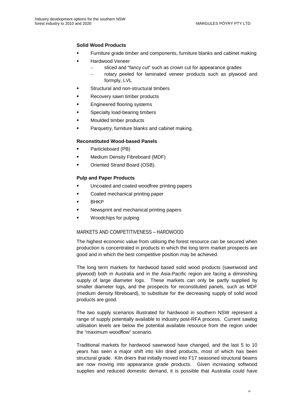#### **Solid Wood Products**

- Furniture grade timber and components, furniture blanks and cabinet making
- Hardwood Veneer
	- sliced and "fancy cut" such as crown cut for appearance grades
	- rotary peeled for laminated veneer products such as plywood and formply, LVL
- Structural and non-structural timbers
- Recovery sawn timber products
- Engineered flooring systems
- **Specialty load-bearing timbers**
- Moulded timber products
- Parquetry, furniture blanks and cabinet making.

#### **Reconstituted Wood-based Panels**

- Particleboard (PB)
- Medium Density Fibreboard (MDF)
- Oriented Strand Board (OSB).

#### **Pulp and Paper Products**

- Uncoated and coated woodfree printing papers
- Coated mechanical printing paper
- BHKP
- Newsprint and mechanical printing papers
- Woodchips for pulping.

#### MARKETS AND COMPETITIVENESS – HARDWOOD

The highest economic value from utilising the forest resource can be secured when production is concentrated in products in which the long term market prospects are good and in which the best competitive position may be achieved.

The long term markets for hardwood based solid wood products (sawnwood and plywood) both in Australia and in the Asia-Pacific region are facing a diminishing supply of large diameter logs. These markets can only be partly supplied by smaller diameter logs, and the prospects for reconstituted panels, such as MDF (medium density fibreboard), to substitute for the decreasing supply of solid wood products are good.

The two supply scenarios illustrated for hardwood in southern NSW represent a range of supply potentially available to industry post-RFA process. Current sawlog utilisation levels are below the potential available resource from the region under the "maximum woodflow" scenario.

Traditional markets for hardwood sawnwood have changed, and the last 5 to 10 years has seen a major shift into kiln dried products, most of which has been structural grade. Kiln driers that initially moved into F17 seasoned structural beams are now moving into appearance grade products. Given increasing softwood supplies and reduced domestic demand, it is possible that Australia could have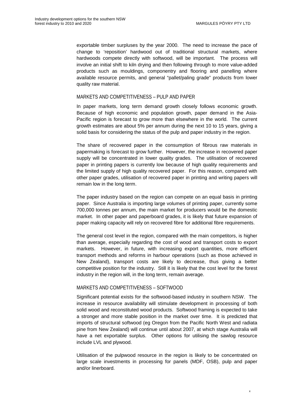exportable timber surpluses by the year 2000. The need to increase the pace of change to 'reposition' hardwood out of traditional structural markets, where hardwoods compete directly with softwood, will be important. The process will involve an initial shift to kiln drying and then following through to more value-added products such as mouldings, componentry and flooring and panelling where available resource permits, and general "pallet/paling grade" products from lower quality raw material.

#### MARKETS AND COMPETITIVENESS – PULP AND PAPER

In paper markets, long term demand growth closely follows economic growth. Because of high economic and population growth, paper demand in the Asia-Pacific region is forecast to grow more than elsewhere in the world. The current growth estimates are about 5% per annum during the next 10 to 15 years, giving a solid basis for considering the status of the pulp and paper industry in the region.

The share of recovered paper in the consumption of fibrous raw materials in papermaking is forecast to grow further. However, the increase in recovered paper supply will be concentrated in lower quality grades. The utilisation of recovered paper in printing papers is currently low because of high quality requirements and the limited supply of high quality recovered paper. For this reason, compared with other paper grades, utilisation of recovered paper in printing and writing papers will remain low in the long term.

The paper industry based on the region can compete on an equal basis in printing paper. Since Australia is importing large volumes of printing paper, currently some 700,000 tonnes per annum, the main market for producers would be the domestic market. In other paper and paperboard grades, it is likely that future expansion of paper making capacity will rely on recovered fibre for additional fibre requirements.

The general cost level in the region, compared with the main competitors, is higher than average, especially regarding the cost of wood and transport costs to export markets. However, in future, with increasing export quantities, more efficient transport methods and reforms in harbour operations (such as those achieved in New Zealand), transport costs are likely to decrease, thus giving a better competitive position for the industry. Still it is likely that the cost level for the forest industry in the region will, in the long term, remain average.

#### MARKETS AND COMPETITIVENESS – SOFTWOOD

Significant potential exists for the softwood-based industry in southern NSW. The increase in resource availability will stimulate development in processing of both solid wood and reconstituted wood products. Softwood framing is expected to take a stronger and more stable position in the market over time. It is predicted that imports of structural softwood (eg Oregon from the Pacific North West and radiata pine from New Zealand) will continue until about 2007, at which stage Australia will have a net exportable surplus. Other options for utilising the sawlog resource include LVL and plywood.

Utilisation of the pulpwood resource in the region is likely to be concentrated on large scale investments in processing for panels (MDF, OSB), pulp and paper and/or linerboard.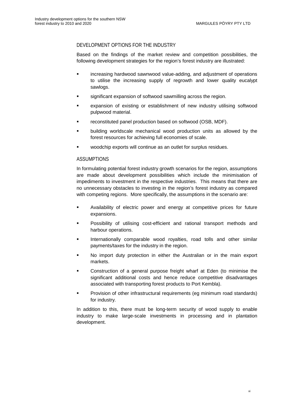#### DEVELOPMENT OPTIONS FOR THE INDUSTRY

Based on the findings of the market review and competition possibilities, the following development strategies for the region's forest industry are illustrated:

- increasing hardwood sawnwood value-adding, and adjustment of operations to utilise the increasing supply of regrowth and lower quality eucalypt sawlogs.
- significant expansion of softwood sawmilling across the region.
- expansion of existing or establishment of new industry utilising softwood pulpwood material.
- reconstituted panel production based on softwood (OSB, MDF).
- building worldscale mechanical wood production units as allowed by the forest resources for achieving full economies of scale.
- woodchip exports will continue as an outlet for surplus residues.

#### ASSUMPTIONS

In formulating potential forest industry growth scenarios for the region, assumptions are made about development possibilities which include the minimisation of impediments to investment in the respective industries. This means that there are no unnecessary obstacles to investing in the region's forest industry as compared with competing regions. More specifically, the assumptions in the scenario are:

- Availability of electric power and energy at competitive prices for future expansions.
- Possibility of utilising cost-efficient and rational transport methods and harbour operations.
- Internationally comparable wood royalties, road tolls and other similar payments/taxes for the industry in the region.
- No import duty protection in either the Australian or in the main export markets.
- Construction of a general purpose freight wharf at Eden (to minimise the significant additional costs and hence reduce competitive disadvantages associated with transporting forest products to Port Kembla).
- Provision of other infrastructural requirements (eg minimum road standards) for industry.

In addition to this, there must be long-term security of wood supply to enable industry to make large-scale investments in processing and in plantation development.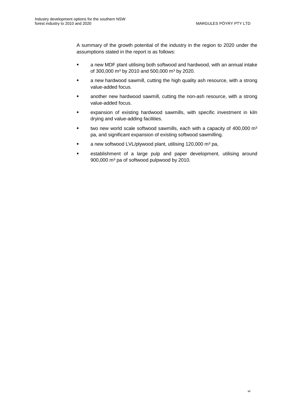A summary of the growth potential of the industry in the region to 2020 under the assumptions stated in the report is as follows:

- a new MDF plant utilising both softwood and hardwood, with an annual intake of 300,000 m<sup>3</sup> by 2010 and 500,000 m<sup>3</sup> by 2020.
- **EXED A** new hardwood sawmill, cutting the high quality ash resource, with a strong value-added focus.
- another new hardwood sawmill, cutting the non-ash resource, with a strong value-added focus.
- expansion of existing hardwood sawmills, with specific investment in kiln drying and value-adding facilities.
- two new world scale softwood sawmills, each with a capacity of 400,000 m<sup>3</sup> pa, and significant expansion of existing softwood sawmilling.
- a new softwood LVL/plywood plant, utilising 120,000 m<sup>3</sup> pa,
- **EXECT** establishment of a large pulp and paper development, utilising around 900,000 m<sup>3</sup> pa of softwood pulpwood by 2010.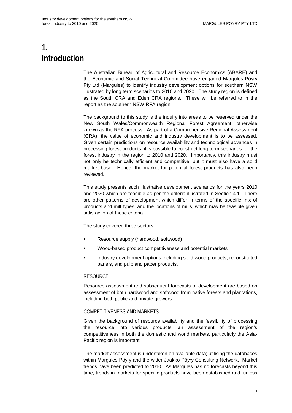# <span id="page-16-0"></span>**1. Introduction**

The Australian Bureau of Agricultural and Resource Economics (ABARE) and the Economic and Social Technical Committee have engaged Margules Pöyry Pty Ltd (Margules) to identify industry development options for southern NSW illustrated by long term scenarios to 2010 and 2020. The study region is defined as the South CRA and Eden CRA regions. These will be referred to in the report as the southern NSW RFA region.

The background to this study is the inquiry into areas to be reserved under the New South Wales/Commonwealth Regional Forest Agreement, otherwise known as the RFA process. As part of a Comprehensive Regional Assessment (CRA), the value of economic and industry development is to be assessed. Given certain predictions on resource availability and technological advances in processing forest products, it is possible to construct long term scenarios for the forest industry in the region to 2010 and 2020. Importantly, this industry must not only be technically efficient and competitive, but it must also have a solid market base. Hence, the market for potential forest products has also been reviewed.

This study presents such illustrative development scenarios for the years 2010 and 2020 which are feasible as per the criteria illustrated in Section 4.1. There are other patterns of development which differ in terms of the specific mix of products and mill types, and the locations of mills, which may be feasible given satisfaction of these criteria.

The study covered three sectors:

- Resource supply (hardwood, softwood)
- Wood-based product competitiveness and potential markets
- Industry development options including solid wood products, reconstituted panels, and pulp and paper products.

#### **RESOURCE**

Resource assessment and subsequent forecasts of development are based on assessment of both hardwood and softwood from native forests and plantations, including both public and private growers.

#### COMPETITIVENESS AND MARKETS

Given the background of resource availability and the feasibility of processing the resource into various products, an assessment of the region's competitiveness in both the domestic and world markets, particularly the Asia-Pacific region is important.

The market assessment is undertaken on available data; utilising the databases within Margules Pöyry and the wider Jaakko Pöyry Consulting Network. Market trends have been predicted to 2010. As Margules has no forecasts beyond this time, trends in markets for specific products have been established and, unless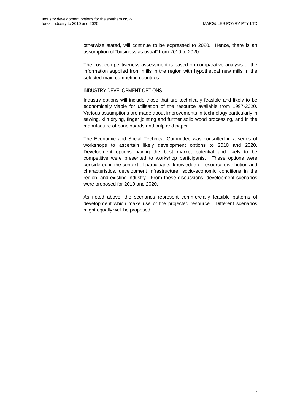otherwise stated, will continue to be expressed to 2020. Hence, there is an assumption of "business as usual" from 2010 to 2020.

The cost competitiveness assessment is based on comparative analysis of the information supplied from mills in the region with hypothetical new mills in the selected main competing countries.

#### INDUSTRY DEVELOPMENT OPTIONS

Industry options will include those that are technically feasible and likely to be economically viable for utilisation of the resource available from 1997-2020. Various assumptions are made about improvements in technology particularly in sawing, kiln drying, finger jointing and further solid wood processing, and in the manufacture of panelboards and pulp and paper.

The Economic and Social Technical Committee was consulted in a series of workshops to ascertain likely development options to 2010 and 2020. Development options having the best market potential and likely to be competitive were presented to workshop participants. These options were considered in the context of participants' knowledge of resource distribution and characteristics, development infrastructure, socio-economic conditions in the region, and existing industry. From these discussions, development scenarios were proposed for 2010 and 2020.

As noted above, the scenarios represent commercially feasible patterns of development which make use of the projected resource. Different scenarios might equally well be proposed.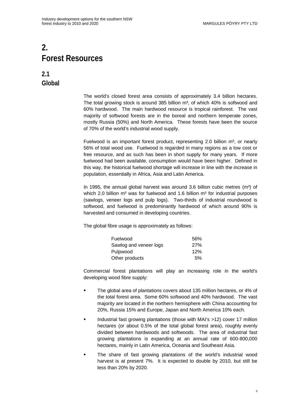# <span id="page-18-0"></span>**2. Forest Resources**

**2.1 Global**

> The world's closed forest area consists of approximately 3.4 billion hectares. The total growing stock is around 385 billion  $m^3$ , of which 40% is softwood and 60% hardwood. The main hardwood resource is tropical rainforest. The vast majority of softwood forests are in the boreal and northern temperate zones, mostly Russia (50%) and North America. These forests have been the source of 70% of the world's industrial wood supply.

> Fuelwood is an important forest product, representing 2.0 billion  $m^3$ , or nearly 56% of total wood use. Fuelwood is regarded in many regions as a low cost or free resource, and as such has been in short supply for many years. If more fuelwood had been available, consumption would have been higher. Defined in this way, the historical fuelwood shortage will increase in line with the increase in population, essentially in Africa, Asia and Latin America.

> In 1995, the annual global harvest was around 3.6 billion cubic metres  $(m<sup>3</sup>)$  of which 2.0 billion  $m<sup>3</sup>$  was for fuelwood and 1.6 billion  $m<sup>3</sup>$  for industrial purposes (sawlogs, veneer logs and pulp logs). Two-thirds of industrial roundwood is softwood, and fuelwood is predominantly hardwood of which around 90% is harvested and consumed in developing countries.

The global fibre usage is approximately as follows:

| Fuelwood               | 56% |
|------------------------|-----|
| Sawlog and veneer logs | 27% |
| Pulpwood               | 12% |
| Other products         | 5%  |

Commercial forest plantations will play an increasing role in the world's developing wood fibre supply:

- **The global area of plantations covers about 135 million hectares, or 4% of** the total forest area. Some 60% softwood and 40% hardwood. The vast majority are located in the northern hemisphere with China accounting for 20%, Russia 15% and Europe, Japan and North America 10% each.
- Industrial fast growing plantations (those with MAI's >12) cover 17 million hectares (or about 0.5% of the total global forest area), roughly evenly divided between hardwoods and softwoods. The area of industrial fast growing plantations is expanding at an annual rate of 600-800,000 hectares, mainly in Latin America, Oceania and Southeast Asia.
- The share of fast growing plantations of the world's industrial wood harvest is at present 7%. It is expected to double by 2010, but still be less than 20% by 2020.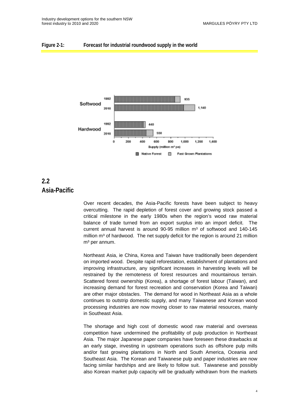#### <span id="page-19-0"></span>**Figure 2-1: Forecast for industrial roundwood supply in the world**



### **2.2 Asia-Pacific**

Over recent decades, the Asia-Pacific forests have been subject to heavy overcutting. The rapid depletion of forest cover and growing stock passed a critical milestone in the early 1980s when the region's wood raw material balance of trade turned from an export surplus into an import deficit. The current annual harvest is around  $90-95$  million  $m<sup>3</sup>$  of softwood and 140-145 million m<sup>3</sup> of hardwood. The net supply deficit for the region is around 21 million m<sup>3</sup> per annum.

Northeast Asia, ie China, Korea and Taiwan have traditionally been dependent on imported wood. Despite rapid reforestation, establishment of plantations and improving infrastructure, any significant increases in harvesting levels will be restrained by the remoteness of forest resources and mountainous terrain. Scattered forest ownership (Korea), a shortage of forest labour (Taiwan), and increasing demand for forest recreation and conservation (Korea and Taiwan) are other major obstacles. The demand for wood in Northeast Asia as a whole continues to outstrip domestic supply, and many Taiwanese and Korean wood processing industries are now moving closer to raw material resources, mainly in Southeast Asia.

The shortage and high cost of domestic wood raw material and overseas competition have undermined the profitability of pulp production in Northeast Asia. The major Japanese paper companies have foreseen these drawbacks at an early stage, investing in upstream operations such as offshore pulp mills and/or fast growing plantations in North and South America, Oceania and Southeast Asia. The Korean and Taiwanese pulp and paper industries are now facing similar hardships and are likely to follow suit. Taiwanese and possibly also Korean market pulp capacity will be gradually withdrawn from the markets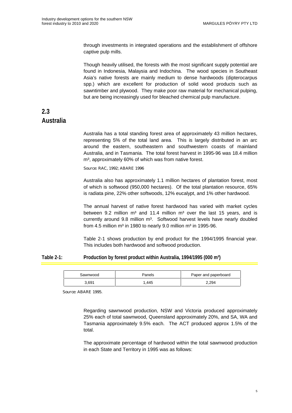<span id="page-20-0"></span>through investments in integrated operations and the establishment of offshore captive pulp mills.

Though heavily utilised, the forests with the most significant supply potential are found in Indonesia, Malaysia and Indochina. The wood species in Southeast Asia's native forests are mainly medium to dense hardwoods (dipterocarpus spp.) which are excellent for production of solid wood products such as sawntimber and plywood. They make poor raw material for mechanical pulping, but are being increasingly used for bleached chemical pulp manufacture.

### **2.3 Australia**

Australia has a total standing forest area of approximately 43 million hectares, representing 5% of the total land area. This is largely distributed in an arc around the eastern, southeastern and southwestern coasts of mainland Australia, and in Tasmania. The total forest harvest in 1995-96 was 18.4 million m<sup>3</sup>, approximately 60% of which was from native forest.

Source: RAC, 1992; ABARE 1996

Australia also has approximately 1.1 million hectares of plantation forest, most of which is softwood (950,000 hectares). Of the total plantation resource, 65% is radiata pine, 22% other softwoods, 12% eucalypt, and 1% other hardwood.

The annual harvest of native forest hardwood has varied with market cycles between 9.2 million  $m<sup>3</sup>$  and 11.4 million  $m<sup>3</sup>$  over the last 15 years, and is currently around 9.8 million m<sup>3</sup>. Softwood harvest levels have nearly doubled from 4.5 million  $m<sup>3</sup>$  in 1980 to nearly 9.0 million  $m<sup>3</sup>$  in 1995-96.

Table 2-1 shows production by end product for the 1994/1995 financial year. This includes both hardwood and softwood production.

#### **Table 2-1: Production by forest product within Australia, 1994/1995 (000 m³)**

| Sawnwood | Panels | Paper and paperboard |
|----------|--------|----------------------|
| 3,691    | .445   | 2.294                |

Source: ABARE 1995.

Regarding sawnwood production, NSW and Victoria produced approximately 25% each of total sawnwood, Queensland approximately 20%, and SA, WA and Tasmania approximately 9.5% each. The ACT produced approx 1.5% of the total.

The approximate percentage of hardwood within the total sawnwood production in each State and Territory in 1995 was as follows: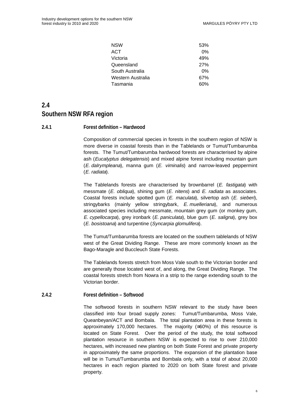| NSW               | 53%   |
|-------------------|-------|
| ACT               | $0\%$ |
| Victoria          | 49%   |
| Queensland        | 27%   |
| South Australia   | $0\%$ |
| Western Australia | 67%   |
| Tasmania          | 60%   |

## <span id="page-21-0"></span>**2.4 Southern NSW RFA region**

#### **2.4.1 Forest definition – Hardwood**

Composition of commercial species in forests in the southern region of NSW is more diverse in coastal forests than in the Tablelands or Tumut/Tumbarumba forests. The Tumut/Tumbarumba hardwood forests are characterised by alpine ash (Eucalyptus delegatensis) and mixed alpine forest including mountain gum (E. dalrympleana), manna gum (E. viminalis) and narrow-leaved peppermint (E. radiata).

The Tablelands forests are characterised by brownbarrel (E. fastigata) with messmate  $(E. oblique)$ , shining gum  $(E. niten)$  and  $E. radiata$  as associates. Coastal forests include spotted gum  $(E.$  maculata), silvertop ash  $(E.$  sieberi), stringybarks (mainly yellow stringybark, E. muelleriana), and numerous associated species including messmate, mountain grey gum (or monkey gum, E. cypellocarpa), grey ironbark (E. paniculata), blue gum (E. saligna), grey box (E. bosistoana) and turpentine (Syncarpia glomulifera).

The Tumut/Tumbarumba forests are located on the southern tablelands of NSW west of the Great Dividing Range. These are more commonly known as the Bago-Maragle and Buccleuch State Forests.

The Tablelands forests stretch from Moss Vale south to the Victorian border and are generally those located west of, and along, the Great Dividing Range. The coastal forests stretch from Nowra in a strip to the range extending south to the Victorian border.

#### **2.4.2 Forest definition – Softwood**

The softwood forests in southern NSW relevant to the study have been classified into four broad supply zones: Tumut/Tumbarumba, Moss Vale, Queanbeyan/ACT and Bombala. The total plantation area in these forests is approximately 170,000 hectares. The majority (≅60%) of this resource is located on State Forest. Over the period of the study, the total softwood plantation resource in southern NSW is expected to rise to over 210,000 hectares, with increased new planting on both State Forest and private property in approximately the same proportions. The expansion of the plantation base will be in Tumut/Tumbarumba and Bombala only, with a total of about 20,000 hectares in each region planted to 2020 on both State forest and private property.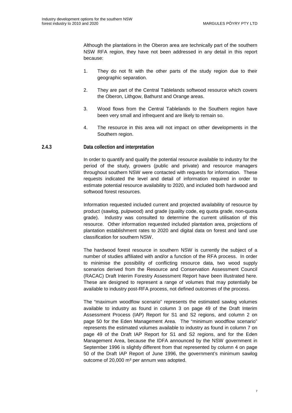<span id="page-22-0"></span>Although the plantations in the Oberon area are technically part of the southern NSW RFA region, they have not been addressed in any detail in this report because:

- 1. They do not fit with the other parts of the study region due to their geographic separation.
- 2. They are part of the Central Tablelands softwood resource which covers the Oberon, Lithgow, Bathurst and Orange areas.
- 3. Wood flows from the Central Tablelands to the Southern region have been very small and infrequent and are likely to remain so.
- 4. The resource in this area will not impact on other developments in the Southern region.

#### **2.4.3 Data collection and interpretation**

In order to quantify and qualify the potential resource available to industry for the period of the study, growers (public and private) and resource managers throughout southern NSW were contacted with requests for information. These requests indicated the level and detail of information required in order to estimate potential resource availability to 2020, and included both hardwood and softwood forest resources.

Information requested included current and projected availability of resource by product (sawlog, pulpwood) and grade (quality code, eg quota grade, non-quota grade). Industry was consulted to determine the current utilisation of this resource. Other information requested included plantation area, projections of plantation establishment rates to 2020 and digital data on forest and land use classification for southern NSW.

The hardwood forest resource in southern NSW is currently the subject of a number of studies affiliated with and/or a function of the RFA process. In order to minimise the possibility of conflicting resource data, two wood supply scenarios derived from the Resource and Conservation Assessment Council (RACAC) Draft Interim Forestry Assessment Report have been illustrated here. These are designed to represent a range of volumes that may potentially be available to industry post-RFA process, not defined outcomes of the process.

The "maximum woodflow scenario" represents the estimated sawlog volumes available to industry as found in column 3 on page 49 of the Draft Interim Assessment Process (IAP) Report for S1 and S2 regions, and column 2 on page 50 for the Eden Management Area. The "minimum woodflow scenario" represents the estimated volumes available to industry as found in column 7 on page 49 of the Draft IAP Report for S1 and S2 regions, and for the Eden Management Area, because the IDFA announced by the NSW government in September 1996 is slightly different from that represented by column 4 on page 50 of the Draft IAP Report of June 1996, the government's minimum sawlog outcome of 20,000 m<sup>3</sup> per annum was adopted.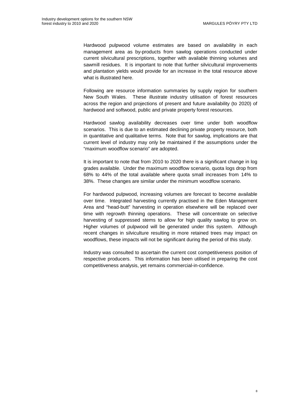Hardwood pulpwood volume estimates are based on availability in each management area as by-products from sawlog operations conducted under current silvicultural prescriptions, together with available thinning volumes and sawmill residues. It is important to note that further silvicultural improvements and plantation yields would provide for an increase in the total resource above what is illustrated here.

Following are resource information summaries by supply region for southern New South Wales. These illustrate industry utilisation of forest resources across the region and projections of present and future availability (to 2020) of hardwood and softwood, public and private property forest resources.

Hardwood sawlog availability decreases over time under both woodflow scenarios. This is due to an estimated declining private property resource, both in quantitative and qualitative terms. Note that for sawlog, implications are that current level of industry may only be maintained if the assumptions under the "maximum woodflow scenario" are adopted.

It is important to note that from 2010 to 2020 there is a significant change in log grades available. Under the maximum woodflow scenario, quota logs drop from 68% to 44% of the total available where quota small increases from 14% to 38%. These changes are similar under the minimum woodflow scenario.

For hardwood pulpwood, increasing volumes are forecast to become available over time. Integrated harvesting currently practised in the Eden Management Area and "head-butt" harvesting in operation elsewhere will be replaced over time with regrowth thinning operations. These will concentrate on selective harvesting of suppressed stems to allow for high quality sawlog to grow on. Higher volumes of pulpwood will be generated under this system. Although recent changes in silviculture resulting in more retained trees may impact on woodflows, these impacts will not be significant during the period of this study.

Industry was consulted to ascertain the current cost competitiveness position of respective producers. This information has been utilised in preparing the cost competitiveness analysis, yet remains commercial-in-confidence.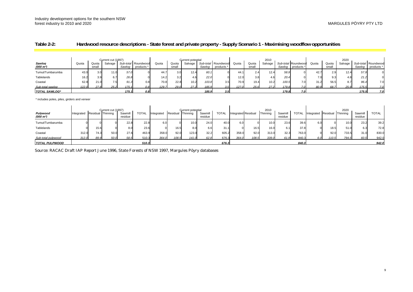#### <span id="page-24-0"></span>**Table 2-2: Hardwood resource descriptions - State forest and private property - Supply Scenario 1 - Maximising woodflow opportunities**

|                       |       |       | Current cut (1997) |        |                     |       |                | Current potential |        |                     |       |       | 2010    |        |                     |       |       | 2020    |        |                     |
|-----------------------|-------|-------|--------------------|--------|---------------------|-------|----------------|-------------------|--------|---------------------|-------|-------|---------|--------|---------------------|-------|-------|---------|--------|---------------------|
| Sawlog                | Quota | Quota | Salvage            |        | Sub-total Roundwood | Quota | Quota          | Salvage           |        | Sub-total Roundwood | Quota | Quota | Salvage |        | Sub-total Roundwood | Quota | Quota | Salvage |        | Sub-total Roundwood |
| (000 m <sup>3</sup> ) |       | small |                    | Sawlog | products *          |       | small          |                   | Sawlog | products *          |       | small |         | Sawlog | products *          |       | small |         | Sawlog | products *          |
| Tumut/Tumbarumba      | 43.0  | 3.0   | 11.0               | 57.0   |                     | 44.7  | 3 <sub>c</sub> | 12.4              | 60.1   |                     | 44.   | 2.4   | 12.4    | 58.9   |                     | 42.7  | 2.9   | 12.4    | 57.9   |                     |
| Tablelands            | 16.2  |       |                    | 26.8   |                     | 14.2. | 3.2            | 4.6               | 22.0   |                     | 12.0  | 3.8   | 4.6     | 20.4   |                     | 7.0   | 9.3   |         | 21.2   |                     |
| Coastal               | 62.8  | 21.0  |                    | 91.3   | 0.8                 | 70.8  | 22.8           | 10.2              | 103.8  |                     | 70.9  | 19.4  | 10.2    | 100.5  | 7.01                | 31.2  | 56.5  |         | 96.4   | 7.0                 |
| Sub-total sawlog      | 122.0 | 270   | 25 <sup>o</sup>    | 175.1  |                     | 129   | 290            | 272               | 185.9  |                     | 1270  | 256   | 272     | 1798   |                     | 80.9  | 68.7  | 25.9    | 175.5  | 7.0                 |
| <b>TOTAL SAWLOG*</b>  |       |       |                    | 175.1  | 0.8.                |       |                |                   | 185.9  |                     |       |       |         | 179.8  |                     |       |       |         | 175.5  | 7.0                 |

\* includes poles, piles, girders and veneer

|                                   |            |                   | Current cut (1997) |                    |              |            |          | Current potential |                    |              |                     |       | 2010              |                    |              |            |          | 2020       |                    |              |
|-----------------------------------|------------|-------------------|--------------------|--------------------|--------------|------------|----------|-------------------|--------------------|--------------|---------------------|-------|-------------------|--------------------|--------------|------------|----------|------------|--------------------|--------------|
| Pulpwood<br>(000 m <sup>3</sup> ) | Integrated | Residual Thinning |                    | Sawmill<br>residue | <b>TOTAL</b> | 'ntegrateo | Residual | <b>Thinning</b>   | Sawmill<br>residue | <b>TOTAL</b> | Integrated Residual |       | Thinning          | Sawmill<br>residue | <b>TOTAL</b> | Integrated | Residual | I Thinning | Sawmill<br>residue | <b>TOTAL</b> |
| Tumut/Tumbarumba                  |            |                   |                    | 22.8               | 22.8         | 6.0        |          | 10.0              | 24.0               | 40.0         | 6.0                 |       | 10.0 <sub>1</sub> | 23.6               | 39.6         | 6.0        |          | 10.0.      | 23.2               | 39.2         |
| Tablelands                        |            | 15.6              |                    | 8.0                | 23.6         |            | 16.5     | 8.0               | 6.6                | 31           |                     | 16.5  | 16.0              | 6.1                | 37.8         |            | 18.5     | 51.0       | 6.3                | 72.8         |
| Coastal                           | 312.0      | 74.3              | 50.0               | 27.6               | 463.9        | 358.0      | 92.0     | 123.0             | 32.2               | 605.2        | 358.0               | 92.0  | 313.0             | 32.3               | 763.0        |            | 92.0     | 733.       | 31.0               | 830.0        |
| Sub-total pulpwood                | 312.0      | 89.9              | 50.0               | 58.5               | 510.3        | 364.0      | 108.5    | 141.0             | 62.8               | 676.3        | 364.0 <sub>1</sub>  | 108.5 | 339.0             | 61.9               | 840.3        | 6.0        | 110.5    | 794.       | 60.5               | 942.0        |
| <b>TOTAL PULPWOOD</b>             |            |                   |                    |                    | 510.3        |            |          |                   |                    | 676.3        |                     |       |                   |                    | 840.3        |            |          |            |                    | 942.0        |

Source: RACAC Draft IAP Report June 1996, State Forests of NSW 1997, Margules Pöyry databases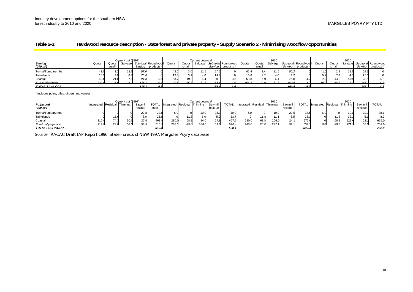#### <span id="page-25-0"></span>**Table 2-3: Hardwood resource description - State forest and private property - Supply Scenario 2 - Minimising woodflow opportunities**

|                                 |              |                | Current cut (1997) |      |                                                  |       |                 | Current potential |      |                                                    |       |                | 2010       |      |                                          |       |                | 2020     |      |                                         |
|---------------------------------|--------------|----------------|--------------------|------|--------------------------------------------------|-------|-----------------|-------------------|------|----------------------------------------------------|-------|----------------|------------|------|------------------------------------------|-------|----------------|----------|------|-----------------------------------------|
| Sawlog<br>$(000 \; \text{m}^3)$ | Quota        | Quota<br>small |                    |      | Salvage Sub-total Roundwood<br>Sawlog products * | Quota | Quota<br>small  |                   |      | Salvage Sub-total Roundwood<br>Sawlog   products * | Quota | Quota<br>small | Salvage    |      | Sub-total Roundwood<br>Sawloo products * | Quota | Quota<br>small | Salvagel |      | Sub-total Roundwoo<br>Sawlog products * |
| Tumut/Tumbarumba                | 43.0         |                | 11.0               | 57.O |                                                  | 43.0  |                 | 11.5              | 57.5 |                                                    |       |                |            | 56.  |                                          |       | റ വ            | 11.5     | 55.  |                                         |
| Tablelands                      |              |                |                    | 26.8 |                                                  | 12.8  |                 |                   | 19.8 |                                                    | 10.6  |                |            | 18.2 |                                          |       |                |          | 17.0 |                                         |
| Coastal                         | 62.8         |                |                    | 91.3 | 0.8                                              | 53.7  | 19.3            | 6.4               | 79.3 |                                                    | 53.8  | 15.            |            | 76.0 |                                          | 22.9  | 44.2           | 5.85     | 72.9 | 4.2                                     |
| Sub-total sawlog                | 122 $\sigma$ |                | 252                | 1751 |                                                  | 100E  | 25 <sub>1</sub> |                   | 156H |                                                    | 106S  | っっ             | $24\sigma$ | 1501 |                                          | 60 N  |                |          | 115  |                                         |
| TOTAL SAWLOG*                   |              |                |                    | 1751 | nя                                               |       |                 |                   | 1566 |                                                    |       |                |            | 150F |                                          |       |                |          | 145. |                                         |

\* includes poles, piles, girders and veneer

| Pulpwood              | Integrated Residual Thinning |      | Current cut (1997) | Sawmill | <b>TOTAL</b> | Integrated Residual Thinning |                 | Current potential | Sawmill |       | TOTAL Integrated Residual Thinning |                 | 2010  | Sawmill | TOTAL | Integrated Residual Thinning |                 | 2020  | Sawmill | <b>TOTAL</b> |
|-----------------------|------------------------------|------|--------------------|---------|--------------|------------------------------|-----------------|-------------------|---------|-------|------------------------------------|-----------------|-------|---------|-------|------------------------------|-----------------|-------|---------|--------------|
| $(000 \; \text{m}^3)$ |                              |      |                    | residue | (check)      |                              |                 |                   | residue |       |                                    |                 |       | residue |       |                              |                 |       | residue |              |
| Tumut/Tumbarumba      |                              |      |                    | 22.8    | 22.8         | 6.0                          |                 | 10.0              | 23.0    | 39.0  |                                    |                 | 10.0  | 22.5    | 38.5  |                              |                 | 10.0  | 22.     | 38.1         |
| Tablelands            |                              |      |                    |         | 23.6         |                              |                 | 6.0               |         | 23.7  |                                    | ، 11            | 11.1  |         | 28.3  |                              | 11.8            | 32.1  |         | 48.9         |
| Coastal               | 312.0                        | 74.3 | 50.0               | 27.6    | 463.         | 280.0                        | 68.8            | 84.0              | 24.8    | 457.6 | 280.0                              | 68.8            | 206.0 |         | 572.9 |                              | 68.8            | 529.0 | 23.7    | 615.0        |
| Sub-total pulpwood    | 312 $\alpha$                 |      | 50 N               | 58 A    | 510.         | 286 <sub>0</sub>             | 80 <sub>6</sub> | 100 $\alpha$      | 53 B    | 520.4 | 286f                               | 80 <sub>6</sub> | 227   | 52.     | 639.7 |                              | 80 <sub>6</sub> |       | 50 C    | 702.0        |
| <b>TOTAL PULPWOOD</b> |                              |      |                    |         | 5103         |                              |                 |                   |         | 520 A |                                    |                 |       |         | 639.7 |                              |                 |       |         | -702.0       |

Source: RACAC Draft IAP Report 1996, State Forests of NSW 1997, Margules Pöyry databases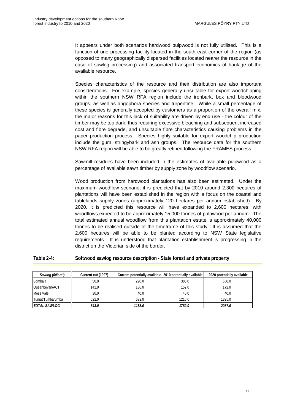<span id="page-26-0"></span>It appears under both scenarios hardwood pulpwood is not fully utilised. This is a function of one processing facility located in the south east corner of the region (as opposed to many geographically dispersed facilities located nearer the resource in the case of sawlog processing) and associated transport economics of haulage of the available resource.

Species characteristics of the resource and their distribution are also important considerations. For example, species generally unsuitable for export woodchipping within the southern NSW RFA region include the ironbark, box and bloodwood groups, as well as angophora species and turpentine. While a small percentage of these species is generally accepted by customers as a proportion of the overall mix, the major reasons for this lack of suitability are driven by end use - the colour of the timber may be too dark, thus requiring excessive bleaching and subsequent increased cost and fibre degrade, and unsuitable fibre characteristics causing problems in the paper production process. Species highly suitable for export woodchip production include the gum, stringybark and ash groups. The resource data for the southern NSW RFA region will be able to be greatly refined following the FRAMES process.

Sawmill residues have been included in the estimates of available pulpwood as a percentage of available sawn timber by supply zone by woodflow scenario.

Wood production from hardwood plantations has also been estimated. Under the maximum woodflow scenario, it is predicted that by 2010 around 2,300 hectares of plantations will have been established in the region with a focus on the coastal and tablelands supply zones (approximately 120 hectares per annum established). By 2020, it is predicted this resource will have expanded to 2,600 hectares, with woodflows expected to be approximately 15,000 tonnes of pulpwood per annum. The total estimated annual woodflow from this plantation estate is approximately 40,000 tonnes to be realised outside of the timeframe of this study. It is assumed that the 2,600 hectares will be able to be planted according to NSW State legislative requirements. It is understood that plantation establishment is progressing in the district on the Victorian side of the border.

#### **Table 2-4: Softwood sawlog resource description - State forest and private property**

| Sawlog (000 m <sup>3</sup> ) | Current cut (1997) | Current potentially available 2010 potentially available |        | 2020 potentially available |
|------------------------------|--------------------|----------------------------------------------------------|--------|----------------------------|
| Bombala                      | 50.0               | 290.0                                                    | 380.0  | 550.0                      |
| Queanbeyan/ACT               | 141.0              | 136.0                                                    | 152.0  | 172.0                      |
| Moss Vale                    | 30.0               | 40.0                                                     | 40.0   | 40.0                       |
| Tumut/Tumbarumba             | 622.0              | 692.0                                                    | 1210.0 | 1325.0                     |
| <b>TOTAL SAWLOG</b>          | 843.0              | 1158.0                                                   | 1782.0 | 2087.0                     |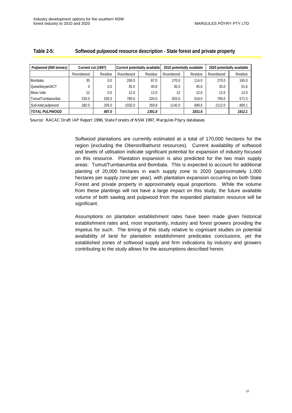| Pulpwood (000 tonnes) | Current cut (1997) |         | Current potentially available |         | 2010 potentially available |         | 2020 potentially available |         |  |  |
|-----------------------|--------------------|---------|-------------------------------|---------|----------------------------|---------|----------------------------|---------|--|--|
|                       | Roundwood          | Residue | Roundwood                     | Residue | Roundwood                  | Residue | Roundwood                  | Residue |  |  |
| Bombala               | 35                 | 0.0     | 200.0                         | 87.0    | 270.0                      | 114.0   | 270.0                      | 165.0   |  |  |
| Queanbeyan/ACT        |                    | 0.0     | 35.0                          | 40.8    | 35.0                       | 45.6    | 35.0                       | 51.6    |  |  |
| Moss Vale             | 12                 | 0.0     | 12.0                          | 12.0    | 12                         | 12.0    | 12.0                       | 12.0    |  |  |
| Tumut/Tumbarumba      | 235.0              | 205.0   | 785.0                         | 220.0   | 825.0                      | 518.0   | 795.0                      | 571.5   |  |  |
| Sub-total pulpwood    | 282.0              | 205.0   | 1032.0                        | 359.8   | 1142.0                     | 689.6   | 1112.0                     | 800.1   |  |  |
| <b>TOTAL PULPWOOD</b> |                    | 487.0   |                               | 1391.8  |                            | 1831.6  |                            | 1912.1  |  |  |

#### <span id="page-27-0"></span>**Table 2-5: Softwood pulpwood resource description - State forest and private property**

Source: RACAC Draft IAP Report 1996, State Forests of NSW 1997, Margules Pöyry databases

Softwood plantations are currently estimated at a total of 170,000 hectares for the region (excluding the Oberon/Bathurst resources). Current availability of softwood and levels of utilisation indicate significant potential for expansion of industry focused on this resource. Plantation expansion is also predicted for the two main supply areas: Tumut/Tumbarumba and Bombala. This is expected to account for additional planting of 20,000 hectares in each supply zone to 2020 (approximately 1,000 hectares per supply zone per year), with plantation expansion occurring on both State Forest and private property in approximately equal proportions. While the volume from these plantings will not have a large impact on this study, the future available volume of both sawlog and pulpwood from the expanded plantation resource will be significant.

Assumptions on plantation establishment rates have been made given historical establishment rates and, most importantly, industry and forest growers providing the impetus for such. The timing of this study relative to cognisant studies on potential availability of land for plantation establishment predicates conclusions, yet the established zones of softwood supply and firm indications by industry and growers contributing to the study allows for the assumptions described herein.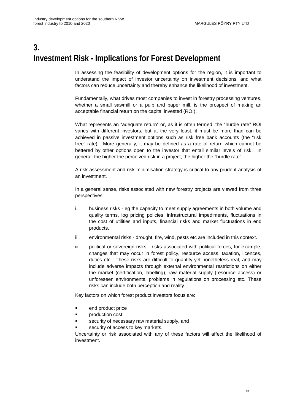# <span id="page-28-0"></span>**3. Investment Risk - Implications for Forest Development**

In assessing the feasibility of development options for the region, it is important to understand the impact of investor uncertainty on investment decisions, and what factors can reduce uncertainty and thereby enhance the likelihood of investment.

Fundamentally, what drives most companies to invest in forestry processing ventures, whether a small sawmill or a pulp and paper mill, is the prospect of making an acceptable financial return on the capital invested (ROI).

What represents an "adequate return" or, as it is often termed, the "hurdle rate" ROI varies with different investors, but at the very least, it must be more than can be achieved in passive investment options such as risk free bank accounts (the "risk free" rate). More generally, it may be defined as a rate of return which cannot be bettered by other options open to the investor that entail similar levels of risk. In general, the higher the perceived risk in a project, the higher the "hurdle rate".

A risk assessment and risk minimisation strategy is critical to any prudent analysis of an investment.

In a general sense, risks associated with new forestry projects are viewed from three perspectives:

- i. business risks eg the capacity to meet supply agreements in both volume and quality terms, log pricing policies, infrastructural impediments, fluctuations in the cost of utilities and inputs, financial risks and market fluctuations in end products.
- ii. environmental risks drought, fire, wind, pests etc are included in this context.
- iii. political or sovereign risks risks associated with political forces, for example, changes that may occur in forest policy, resource access, taxation, licences, duties etc. These risks are difficult to quantify yet nonetheless real, and may include adverse impacts through external environmental restrictions on either the market (certification, labelling), raw material supply (resource access) or unforeseen environmental problems in regulations on processing etc. These risks can include both perception and reality.

Key factors on which forest product investors focus are:

- **end product price**
- **•** production cost
- security of necessary raw material supply, and
- security of access to key markets.

Uncertainty or risk associated with any of these factors will affect the likelihood of investment.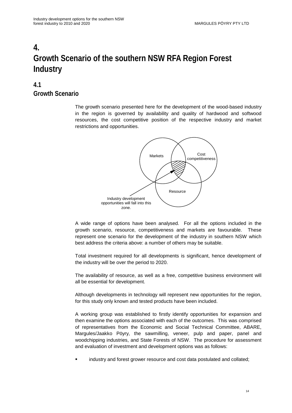# <span id="page-29-0"></span>**4. Growth Scenario of the southern NSW RFA Region Forest Industry**

### **4.1 Growth Scenario**

The growth scenario presented here for the development of the wood-based industry in the region is governed by availability and quality of hardwood and softwood resources, the cost competitive position of the respective industry and market restrictions and opportunities.



A wide range of options have been analysed. For all the options included in the growth scenario, resource, competitiveness and markets are favourable. These represent one scenario for the development of the industry in southern NSW which best address the criteria above: a number of others may be suitable.

Total investment required for all developments is significant, hence development of the industry will be over the period to 2020.

The availability of resource, as well as a free, competitive business environment will all be essential for development.

Although developments in technology will represent new opportunities for the region, for this study only known and tested products have been included.

A working group was established to firstly identify opportunities for expansion and then examine the options associated with each of the outcomes. This was comprised of representatives from the Economic and Social Technical Committee, ABARE, Margules/Jaakko Pöyry, the sawmilling, veneer, pulp and paper, panel and woodchipping industries, and State Forests of NSW. The procedure for assessment and evaluation of investment and development options was as follows:

industry and forest grower resource and cost data postulated and collated;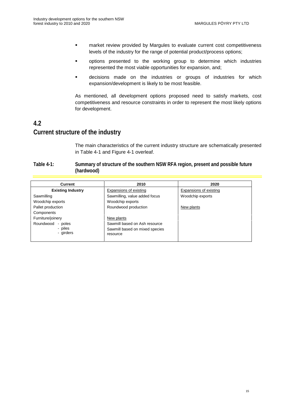- <span id="page-30-0"></span>**EXEDENT EXE** market review provided by Margules to evaluate current cost competitiveness levels of the industry for the range of potential product/process options;
- options presented to the working group to determine which industries represented the most viable opportunities for expansion, and;
- decisions made on the industries or groups of industries for which expansion/development is likely to be most feasible.

As mentioned, all development options proposed need to satisfy markets, cost competitiveness and resource constraints in order to represent the most likely options for development.

### **4.2 Current structure of the industry**

The main characteristics of the current industry structure are schematically presented in Table 4-1 and Figure 4-1 overleaf.

#### **Table 4-1: Summary of structure of the southern NSW RFA region, present and possible future (hardwood)**

| Current                  | 2010                           | 2020                   |
|--------------------------|--------------------------------|------------------------|
| <b>Existing Industry</b> | Expansions of existing         | Expansions of existing |
| Sawmilling               | Sawmilling, value added focus  | Woodchip exports       |
| Woodchip exports         | Woodchip exports               |                        |
| Pallet production        | Roundwood production           | New plants             |
| Components               |                                |                        |
| Furniture/joinery        | New plants                     |                        |
| Roundwood<br>- poles     | Sawmill based on Ash resource  |                        |
| - piles                  | Sawmill based on mixed species |                        |
| - girders                | resource                       |                        |
|                          |                                |                        |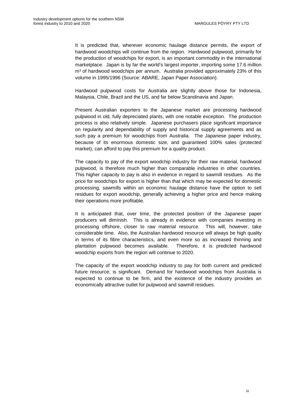It is predicted that, wherever economic haulage distance permits, the export of hardwood woodchips will continue from the region. Hardwood pulpwood, primarily for the production of woodchips for export, is an important commodity in the international marketplace. Japan is by far the world's largest importer, importing some 17.6 million m<sup>3</sup> of hardwood woodchips per annum. Australia provided approximately 23% of this volume in 1995/1996 (Source: ABARE, Japan Paper Association).

Hardwood pulpwood costs for Australia are slightly above those for Indonesia, Malaysia, Chile, Brazil and the US, and far below Scandinavia and Japan.

Present Australian exporters to the Japanese market are processing hardwood pulpwood in old, fully depreciated plants, with one notable exception. The production process is also relatively simple. Japanese purchasers place significant importance on regularity and dependability of supply and historical supply agreements and as such pay a premium for woodchips from Australia. The Japanese paper industry, because of its enormous domestic size, and guaranteed 100% sales (protected market), can afford to pay this premium for a quality product.

The capacity to pay of the export woodchip industry for their raw material, hardwood pulpwood, is therefore much higher than comparable industries in other countries. This higher capacity to pay is also in evidence in regard to sawmill residues. As the price for woodchips for export is higher than that which may be expected for domestic processing, sawmills within an economic haulage distance have the option to sell residues for export woodchip, generally achieving a higher price and hence making their operations more profitable.

It is anticipated that, over time, the protected position of the Japanese paper producers will diminish. This is already in evidence with companies investing in processing offshore, closer to raw material resource. This will, however, take considerable time. Also, the Australian hardwood resource will always be high quality in terms of its fibre characteristics, and even more so as increased thinning and plantation pulpwood becomes available. Therefore, it is predicted hardwood woodchip exports from the region will continue to 2020.

The capacity of the export woodchip industry to pay for both current and predicted future resource, is significant. Demand for hardwood woodchips from Australia is expected to continue to be firm, and the existence of the industry provides an economically attractive outlet for pulpwood and sawmill residues.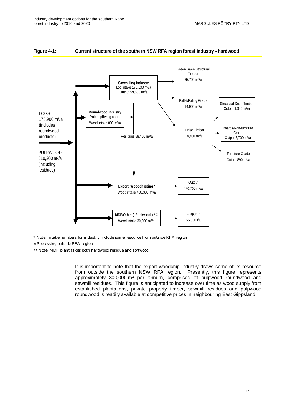

#### <span id="page-32-0"></span>**Figure 4-1: Current structure of the southern NSW RFA region forest industry - hardwood**

\* Note: intake numbers for industry include some resource from outside RFA region

# Processing outside RFA region

\*\* Note: MDF plant takes both hardwood residue and softwood

It is important to note that the export woodchip industry draws some of its resource from outside the southern NSW RFA region. Presently, this figure represents approximately 300,000 m<sup>3</sup> per annum, comprised of pulpwood roundwood and sawmill residues. This figure is anticipated to increase over time as wood supply from established plantations, private property timber, sawmill residues and pulpwood roundwood is readily available at competitive prices in neighbouring East Gippsland.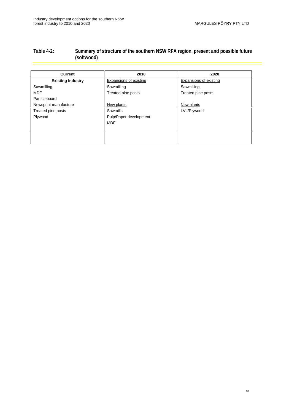#### <span id="page-33-0"></span>**Table 4-2: Summary of structure of the southern NSW RFA region, present and possible future (softwood)**

| <b>Current</b>           | 2010                   | 2020                   |
|--------------------------|------------------------|------------------------|
| <b>Existing Industry</b> | Expansions of existing | Expansions of existing |
| Sawmilling               | Sawmilling             | Sawmilling             |
| <b>MDF</b>               | Treated pine posts     | Treated pine posts     |
| Particleboard            |                        |                        |
| Newsprint manufacture    | New plants             | New plants             |
| Treated pine posts       | <b>Sawmills</b>        | LVL/Plywood            |
| Plywood                  | Pulp/Paper development |                        |
|                          | <b>MDF</b>             |                        |
|                          |                        |                        |
|                          |                        |                        |
|                          |                        |                        |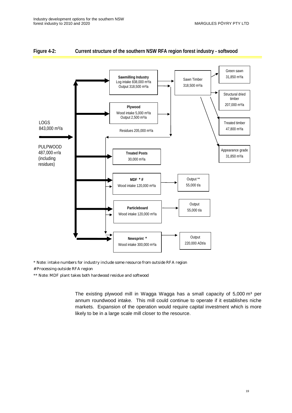

#### <span id="page-34-0"></span>**Figure 4-2: Current structure of the southern NSW RFA region forest industry - softwood**

\* Note: intake numbers for industry include some resource from outside RFA region

# Processing outside RFA region

\*\* Note: MDF plant takes both hardwood residue and softwood

The existing plywood mill in Wagga Wagga has a small capacity of  $5,000 \text{ m}^3$  per annum roundwood intake. This mill could continue to operate if it establishes niche markets. Expansion of the operation would require capital investment which is more likely to be in a large scale mill closer to the resource.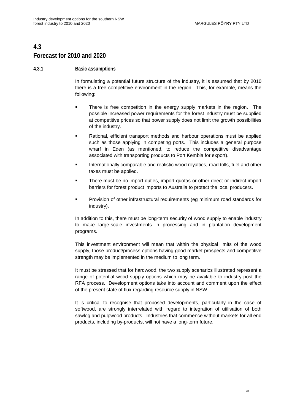### <span id="page-35-0"></span>**4.3 Forecast for 2010 and 2020**

#### **4.3.1 Basic assumptions**

In formulating a potential future structure of the industry, it is assumed that by 2010 there is a free competitive environment in the region. This, for example, means the following:

- There is free competition in the energy supply markets in the region. The possible increased power requirements for the forest industry must be supplied at competitive prices so that power supply does not limit the growth possibilities of the industry.
- Rational, efficient transport methods and harbour operations must be applied such as those applying in competing ports. This includes a general purpose wharf in Eden (as mentioned, to reduce the competitive disadvantage associated with transporting products to Port Kembla for export).
- **Internationally comparable and realistic wood royalties, road tolls, fuel and other** taxes must be applied.
- There must be no import duties, import quotas or other direct or indirect import barriers for forest product imports to Australia to protect the local producers.
- Provision of other infrastructural requirements (eg minimum road standards for industry).

In addition to this, there must be long-term security of wood supply to enable industry to make large-scale investments in processing and in plantation development programs.

This investment environment will mean that within the physical limits of the wood supply, those product/process options having good market prospects and competitive strength may be implemented in the medium to long term.

It must be stressed that for hardwood, the two supply scenarios illustrated represent a range of potential wood supply options which may be available to industry post the RFA process. Development options take into account and comment upon the effect of the present state of flux regarding resource supply in NSW.

It is critical to recognise that proposed developments, particularly in the case of softwood, are strongly interrelated with regard to integration of utilisation of both sawlog and pulpwood products. Industries that commence without markets for all end products, including by-products, will not have a long-term future.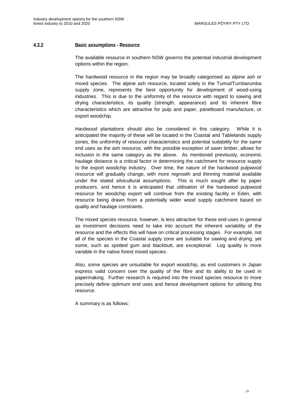#### <span id="page-36-0"></span>**4.3.2 Basic assumptions - Resource**

The available resource in southern NSW governs the potential industrial development options within the region.

The hardwood resource in the region may be broadly categorised as alpine ash or mixed species. The alpine ash resource, located solely in the Tumut/Tumbarumba supply zone, represents the best opportunity for development of wood-using industries. This is due to the uniformity of the resource with regard to sawing and drying characteristics, its quality (strength, appearance) and its inherent fibre characteristics which are attractive for pulp and paper, panelboard manufacture, or export woodchip.

Hardwood plantations should also be considered in this category. While it is anticipated the majority of these will be located in the Coastal and Tablelands supply zones, the uniformity of resource characteristics and potential suitability for the same end uses as the ash resource, with the possible exception of sawn timber, allows for inclusion in the same category as the above. As mentioned previously, economic haulage distance is a critical factor in determining the catchment for resource supply to the export woodchip industry. Over time, the nature of the hardwood pulpwood resource will gradually change, with more regrowth and thinning material available under the stated silvicultural assumptions. This is much sought after by paper producers, and hence it is anticipated that utilisation of the hardwood pulpwood resource for woodchip export will continue from the existing facility in Eden, with resource being drawn from a potentially wider wood supply catchment based on quality and haulage constraints.

The mixed species resource, however, is less attractive for these end-uses in general as investment decisions need to take into account the inherent variability of the resource and the effects this will have on critical processing stages. For example, not all of the species in the Coastal supply zone are suitable for sawing and drying, yet some, such as spotted gum and blackbutt, are exceptional. Log quality is more variable in the native forest mixed species.

Also, some species are unsuitable for export woodchip, as end customers in Japan express valid concern over the quality of the fibre and its ability to be used in papermaking. Further research is required into the mixed species resource to more precisely define optimum end uses and hence development options for utilising this resource.

A summary is as follows: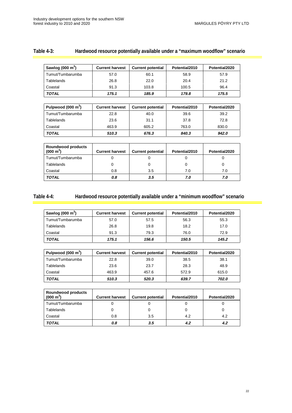| Sawlog $(000 \text{ m}^3)$ | <b>Current harvest</b> | <b>Current potential</b> | Potential2010 | Potential2020 |
|----------------------------|------------------------|--------------------------|---------------|---------------|
| Tumut/Tumbarumba           | 57.0                   | 60.1                     | 58.9          | 57.9          |
| Tablelands                 | 26.8                   | 22.0                     | 20.4          | 21.2          |
| Coastal                    | 91.3                   | 103.8                    | 100.5         | 96.4          |

**TOTAL 175.1 185.9 179.8 175.5**

#### <span id="page-37-0"></span>**Table 4-3: Hardwood resource potentially available under a "maximum woodflow" scenario**

| Pulpwood $(000 \text{ m}^3)$ | <b>Current harvest</b> | <b>Current potential</b> | Potential2010 | Potential2020 |
|------------------------------|------------------------|--------------------------|---------------|---------------|
| Tumut/Tumbarumba             | 22.8                   | 40.0                     | 39.6          | 39.2          |
| Tablelands                   | 23.6                   | 31.1                     | 37.8          | 72.8          |
| Coastal                      | 463.9                  | 605.2                    | 763.0         | 830.0         |
| <b>TOTAL</b>                 | 510.3                  | 676.3                    | 840.3         | 942.0         |

| <b>Roundwood products</b><br>$(000 \text{ m}^3)$ | <b>Current harvest</b> | <b>Current potential</b> | Potential2010 | Potential2020 |
|--------------------------------------------------|------------------------|--------------------------|---------------|---------------|
| Tumut/Tumbarumba                                 |                        |                          |               |               |
| <b>Tablelands</b>                                |                        |                          |               |               |
| Coastal                                          | 0.8                    | 3.5                      | 7.0           | 7.0           |
| <b>TOTAL</b>                                     | 0.8                    | 3.5                      | 7.0           | 7.0           |

#### **Table 4-4: Hardwood resource potentially available under a "minimum woodflow" scenario**

| Sawlog $(000 \text{ m}^3)$ | <b>Current harvest</b> | <b>Current potential</b> | Potential2010 | Potential2020 |
|----------------------------|------------------------|--------------------------|---------------|---------------|
| Tumut/Tumbarumba           | 57.0                   | 57.5                     | 56.3          | 55.3          |
| Tablelands                 | 26.8                   | 19.8                     | 18.2          | 17.0          |
| Coastal                    | 91.3                   | 79.3                     | 76.0          | 72.9          |
| <b>TOTAL</b>               | 175.1                  | 156.6                    | 150.5         | 145.2         |

| Pulpwood $(000 \text{ m}^3)$ | <b>Current harvest</b> | <b>Current potential</b> | Potential2010 | Potential2020 |
|------------------------------|------------------------|--------------------------|---------------|---------------|
| Tumut/Tumbarumba             | 22.8                   | 39.0                     | 38.5          | 38.1          |
| Tablelands                   | 23.6                   | 23.7                     | 28.3          | 48.9          |
| Coastal                      | 463.9                  | 457.6                    | 572.9         | 615.0         |
| <b>TOTAL</b>                 | 510.3                  | 520.3                    | 639.7         | 702.0         |

| <b>Roundwood products</b><br>$(000 \text{ m}^3)$ | <b>Current harvest</b> | <b>Current potential</b> | Potential2010 | Potential2020 |
|--------------------------------------------------|------------------------|--------------------------|---------------|---------------|
| Tumut/Tumbarumba                                 |                        |                          |               |               |
| Tablelands                                       |                        |                          |               |               |
| Coastal                                          | 0.8                    | 3.5                      | 4.2           | 4.2           |
| TOTAL                                            | 0.8                    | 3.5                      | 4.2           | 4.2           |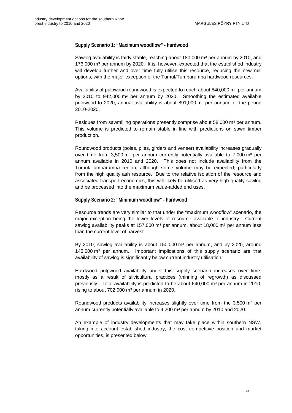#### **Supply Scenario 1: "Maximum woodflow" - hardwood**

Sawlog availability is fairly stable, reaching about  $180,000$  m<sup>3</sup> per annum by 2010, and 176,000 m<sup>3</sup> per annum by 2020. It is, however, expected that the established industry will develop further and over time fully utilise this resource, reducing the new mill options, with the major exception of the Tumut/Tumbarumba hardwood resources.

Availability of pulpwood roundwood is expected to reach about 840,000  $m^3$  per annum by 2010 to  $942,000 \text{ m}^3$  per annum by 2020. Smoothing the estimated available pulpwood to 2020, annual availability is about  $891,000$  m<sup>3</sup> per annum for the period 2010-2020.

Residues from sawmilling operations presently comprise about 58,000 m<sup>3</sup> per annum. This volume is predicted to remain stable in line with predictions on sawn timber production.

Roundwood products (poles, piles, girders and veneer) availability increases gradually over time from 3,500  $m<sup>3</sup>$  per annum currently potentially available to 7,000  $m<sup>3</sup>$  per annum available in 2010 and 2020. This does not include availability from the Tumut/Tumbarumba region, although some volume may be expected, particularly from the high quality ash resource. Due to the relative isolation of the resource and associated transport economics, this will likely be utilised as very high quality sawlog and be processed into the maximum value-added end uses.

#### **Supply Scenario 2: "Minimum woodflow" - hardwood**

Resource trends are very similar to that under the "maximum woodflow" scenario, the major exception being the lower levels of resource available to industry. Current sawlog availability peaks at 157,000  $m<sup>3</sup>$  per annum, about 18,000  $m<sup>3</sup>$  per annum less than the current level of harvest.

By 2010, sawlog availability is about  $150,000$  m<sup>3</sup> per annum, and by 2020, around 145,000  $\text{m}^3$  per annum. Important implications of this supply scenario are that availability of sawlog is significantly below current industry utilisation.

Hardwood pulpwood availability under this supply scenario increases over time, mostly as a result of silvicultural practices (thinning of regrowth) as discussed previously. Total availability is predicted to be about  $640,000$  m<sup>3</sup> per annum in 2010, rising to about  $702,000$  m<sup>3</sup> per annum in 2020.

Roundwood products availability increases slightly over time from the  $3,500 \text{ m}^3$  per annum currently potentially available to  $4,200$  m<sup>3</sup> per annum by 2010 and 2020.

An example of industry developments that may take place within southern NSW, taking into account established industry, the cost competitive position and market opportunities, is presented below.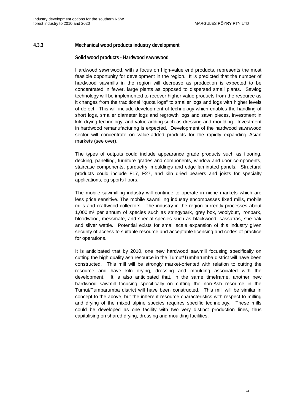#### <span id="page-39-0"></span>**4.3.3 Mechanical wood products industry development**

#### **Solid wood products - Hardwood sawnwood**

Hardwood sawnwood, with a focus on high-value end products, represents the most feasible opportunity for development in the region. It is predicted that the number of hardwood sawmills in the region will decrease as production is expected to be concentrated in fewer, large plants as opposed to dispersed small plants. Sawlog technology will be implemented to recover higher value products from the resource as it changes from the traditional "quota logs" to smaller logs and logs with higher levels of defect. This will include development of technology which enables the handling of short logs, smaller diameter logs and regrowth logs and sawn pieces, investment in kiln drying technology, and value-adding such as dressing and moulding. Investment in hardwood remanufacturing is expected. Development of the hardwood sawnwood sector will concentrate on value-added products for the rapidly expanding Asian markets (see over).

The types of outputs could include appearance grade products such as flooring, decking, panelling, furniture grades and components, window and door components, staircase components, parquetry, mouldings and edge laminated panels. Structural products could include F17, F27, and kiln dried bearers and joists for specialty applications, eg sports floors.

The mobile sawmilling industry will continue to operate in niche markets which are less price sensitive. The mobile sawmilling industry encompasses fixed mills, mobile mills and craftwood collectors. The industry in the region currently processes about 1,000  $m^3$  per annum of species such as stringybark, grey box, woolybutt, ironbark, bloodwood, messmate, and special species such as blackwood, sassafras, she-oak and silver wattle. Potential exists for small scale expansion of this industry given security of access to suitable resource and acceptable licensing and codes of practice for operations.

It is anticipated that by 2010, one new hardwood sawmill focusing specifically on cutting the high quality ash resource in the Tumut/Tumbarumba district will have been constructed. This mill will be strongly market-oriented with relation to cutting the resource and have kiln drying, dressing and moulding associated with the development. It is also anticipated that, in the same timeframe, another new hardwood sawmill focusing specifically on cutting the non-Ash resource in the Tumut/Tumbarumba district will have been constructed. This mill will be similar in concept to the above, but the inherent resource characteristics with respect to milling and drying of the mixed alpine species requires specific technology. These mills could be developed as one facility with two very distinct production lines, thus capitalising on shared drying, dressing and moulding facilities.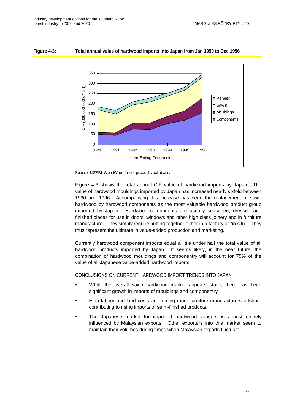

#### <span id="page-40-0"></span>**Figure 4-3: Total annual value of hardwood imports into Japan from Jan 1990 to Dec 1996**

Figure 4-3 shows the total annual CIF value of hardwood imports by Japan. The value of hardwood mouldings imported by Japan has increased nearly sixfold between 1990 and 1996. Accompanying this increase has been the replacement of sawn hardwood by hardwood components as the most valuable hardwood product group imported by Japan. Hardwood components are usually seasoned, dressed and finished pieces for use in doors, windows and other high class joinery and in furniture manufacture. They simply require putting together either in a factory or "in situ". They thus represent the ultimate in value-added production and marketing.

Currently hardwood component imports equal a little under half the total value of all hardwood products imported by Japan. It seems likely, in the near future, the combination of hardwood mouldings and componentry will account for 75% of the value of all Japanese value-added hardwood imports.

#### CONCLUSIONS ON CURRENT HARDWOOD IMPORT TRENDS INTO JAPAN

- While the overall sawn hardwood market appears static, there has been significant growth in imports of mouldings and componentry.
- High labour and land costs are forcing more furniture manufacturers offshore contributing to rising imports of semi-finished products.
- The Japanese market for imported hardwood veneers is almost entirely influenced by Malaysian exports. Other exporters into this market seem to maintain their volumes during times when Malaysian exports fluctuate.

Source: NZFRI WoodWide forest products database.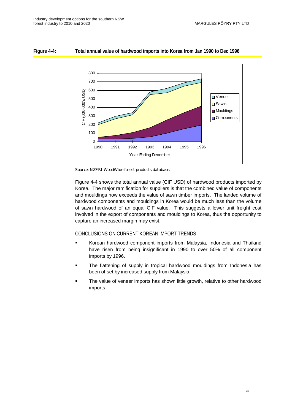

#### <span id="page-41-0"></span>**Figure 4-4: Total annual value of hardwood imports into Korea from Jan 1990 to Dec 1996**



Figure 4-4 shows the total annual value (CIF USD) of hardwood products imported by Korea. The major ramification for suppliers is that the combined value of components and mouldings now exceeds the value of sawn timber imports. The landed volume of hardwood components and mouldings in Korea would be much less than the volume of sawn hardwood of an equal CIF value. This suggests a lower unit freight cost involved in the export of components and mouldings to Korea, thus the opportunity to capture an increased margin may exist.

#### CONCLUSIONS ON CURRENT KOREAN IMPORT TRENDS

- Korean hardwood component imports from Malaysia, Indonesia and Thailand have risen from being insignificant in 1990 to over 50% of all component imports by 1996.
- The flattening of supply in tropical hardwood mouldings from Indonesia has been offset by increased supply from Malaysia.
- The value of veneer imports has shown little growth, relative to other hardwood imports.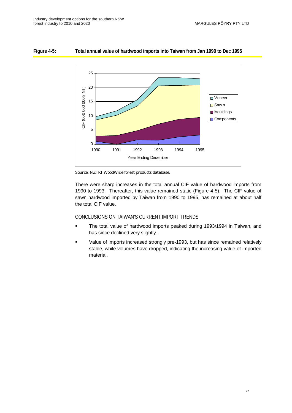#### <span id="page-42-0"></span>**Figure 4-5: Total annual value of hardwood imports into Taiwan from Jan 1990 to Dec 1995**



Source: NZFRI WoodWide forest products database.

There were sharp increases in the total annual CIF value of hardwood imports from 1990 to 1993. Thereafter, this value remained static (Figure 4-5). The CIF value of sawn hardwood imported by Taiwan from 1990 to 1995, has remained at about half the total CIF value.

#### CONCLUSIONS ON TAIWAN'S CURRENT IMPORT TRENDS

- **The total value of hardwood imports peaked during 1993/1994 in Taiwan, and** has since declined very slightly.
- Value of imports increased strongly pre-1993, but has since remained relatively stable, while volumes have dropped, indicating the increasing value of imported material.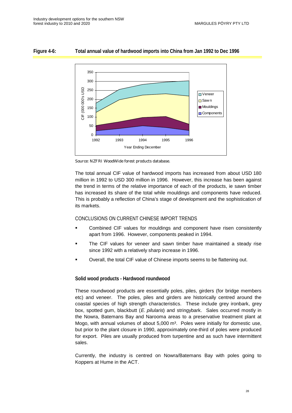<span id="page-43-0"></span>





The total annual CIF value of hardwood imports has increased from about USD 180 million in 1992 to USD 300 million in 1996. However, this increase has been against the trend in terms of the relative importance of each of the products, ie sawn timber has increased its share of the total while mouldings and components have reduced. This is probably a reflection of China's stage of development and the sophistication of its markets.

#### CONCLUSIONS ON CURRENT CHINESE IMPORT TRENDS

- Combined CIF values for mouldings and component have risen consistently apart from 1996. However, components peaked in 1994.
- The CIF values for veneer and sawn timber have maintained a steady rise since 1992 with a relatively sharp increase in 1996.
- Overall, the total CIF value of Chinese imports seems to be flattening out.

#### **Solid wood products - Hardwood roundwood**

These roundwood products are essentially poles, piles, girders (for bridge members etc) and veneer. The poles, piles and girders are historically centred around the coastal species of high strength characteristics. These include grey ironbark, grey box, spotted gum, blackbutt (E. pilularis) and stringybark. Sales occurred mostly in the Nowra, Batemans Bay and Narooma areas to a preservative treatment plant at Mogo, with annual volumes of about 5,000 m<sup>3</sup>. Poles were initially for domestic use, but prior to the plant closure in 1990, approximately one-third of poles were produced for export. Piles are usually produced from turpentine and as such have intermittent sales.

Currently, the industry is centred on Nowra/Batemans Bay with poles going to Koppers at Hume in the ACT.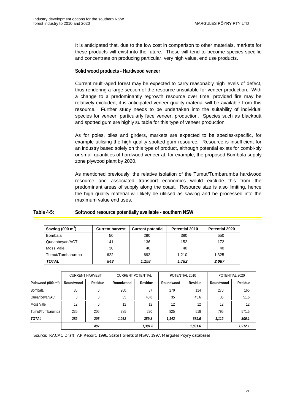<span id="page-44-0"></span>It is anticipated that, due to the low cost in comparison to other materials, markets for these products will exist into the future. These will tend to become species-specific and concentrate on producing particular, very high value, end use products.

#### **Solid wood products - Hardwood veneer**

Current multi-aged forest may be expected to carry reasonably high levels of defect, thus rendering a large section of the resource unsuitable for veneer production. With a change to a predominantly regrowth resource over time, provided fire may be relatively excluded, it is anticipated veneer quality material will be available from this resource. Further study needs to be undertaken into the suitability of individual species for veneer, particularly face veneer, production. Species such as blackbutt and spotted gum are highly suitable for this type of veneer production.

As for poles, piles and girders, markets are expected to be species-specific, for example utilising the high quality spotted gum resource. Resource is insufficient for an industry based solely on this type of product, although potential exists for combi-ply or small quantities of hardwood veneer at, for example, the proposed Bombala supply zone plywood plant by 2020.

As mentioned previously, the relative isolation of the Tumut/Tumbarumba hardwood resource and associated transport economics would exclude this from the predominant areas of supply along the coast. Resource size is also limiting, hence the high quality material will likely be utilised as sawlog and be processed into the maximum value end uses.

#### **Table 4-5: Softwood resource potentially available - southern NSW**

| Sawlog (000 $m3$ ) | <b>Current harvest</b> | <b>Current potential</b> | <b>Potential 2010</b> | Potential 2020 |
|--------------------|------------------------|--------------------------|-----------------------|----------------|
| <b>Bombala</b>     | 50                     | 290                      | 380                   | 550            |
| Queanbeyan/ACT     | 141                    | 136                      | 152                   | 172            |
| Moss Vale          | 30                     | 40                       | 40                    | 40             |
| Tumut/Tumbarumba   | 622                    | 692                      | 1.210                 | 1.325          |
| <b>TOTAL</b>       | 843                    | 1.158                    | 1.782                 | 2,087          |

|                                | <b>CURRENT HARVEST</b> |                | <b>CURRENT POTENTIAL</b> |                | POTENTIAL 2010 |                | POTENTIAL 2020 |         |
|--------------------------------|------------------------|----------------|--------------------------|----------------|----------------|----------------|----------------|---------|
| Pulpwood (000 m <sup>3</sup> ) | Roundwood              | <b>Residue</b> | Roundwood                | <b>Residue</b> | Roundwood      | <b>Residue</b> | Roundwood      | Residue |
| Bombala                        | 35                     | $\mathbf{0}$   | 200                      | 87             | 270            | 114            | 270            | 165     |
| Queanbeyan/ACT                 | $\theta$               |                | 35                       | 40.8           | 35             | 45.6           | 35             | 51.6    |
| <b>Moss Vale</b>               | 12                     | $\mathbf{0}$   | 12                       | 12             | 12             | 12             | 12             | 12      |
| Tumut/Tumbarumba               | 235                    | 205            | 785                      | 220            | 825            | 518            | 795            | 571.5   |
| <b>TOTAL</b>                   | 282                    | 205            | 1,032                    | 359.8          | 1.142          | 689.6          | 1,112          | 800.1   |
|                                |                        | 487            |                          | 1,391.8        |                | 1,831.6        |                | 1.912.1 |

Source: RACAC Draft IAP Report, 1996, State Forests of NSW, 1997, Margules Pöyry databases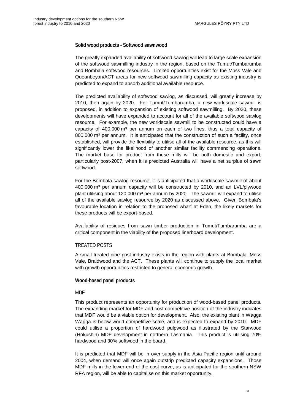#### **Solid wood products - Softwood sawnwood**

The greatly expanded availability of softwood sawlog will lead to large scale expansion of the softwood sawmilling industry in the region, based on the Tumut/Tumbarumba and Bombala softwood resources. Limited opportunities exist for the Moss Vale and Queanbeyan/ACT areas for new softwood sawmilling capacity as existing industry is predicted to expand to absorb additional available resource.

The predicted availability of softwood sawlog, as discussed, will greatly increase by 2010, then again by 2020. For Tumut/Tumbarumba, a new worldscale sawmill is proposed, in addition to expansion of existing softwood sawmilling. By 2020, these developments will have expanded to account for all of the available softwood sawlog resource. For example, the new worldscale sawmill to be constructed could have a capacity of  $400,000$  m<sup>3</sup> per annum on each of two lines, thus a total capacity of  $800,000$  m<sup>3</sup> per annum. It is anticipated that the construction of such a facility, once established, will provide the flexibility to utilise all of the available resource, as this will significantly lower the likelihood of another similar facility commencing operations. The market base for product from these mills will be both domestic and export, particularly post-2007, when it is predicted Australia will have a net surplus of sawn softwood.

For the Bombala sawlog resource, it is anticipated that a worldscale sawmill of about 400,000 m³ per annum capacity will be constructed by 2010, and an LVL/plywood plant utilising about 120,000  $\text{m}^3$  per annum by 2020. The sawmill will expand to utilise all of the available sawlog resource by 2020 as discussed above. Given Bombala's favourable location in relation to the proposed wharf at Eden, the likely markets for these products will be export-based.

Availability of residues from sawn timber production in Tumut/Tumbarumba are a critical component in the viability of the proposed linerboard development.

#### TREATED POSTS

A small treated pine post industry exists in the region with plants at Bombala, Moss Vale, Braidwood and the ACT. These plants will continue to supply the local market with growth opportunities restricted to general economic growth.

#### **Wood-based panel products**

#### MDF

This product represents an opportunity for production of wood-based panel products. The expanding market for MDF and cost competitive position of the industry indicates that MDF would be a viable option for development. Also, the existing plant in Wagga Wagga is below world competitive scale, and is expected to expand by 2010. MDF could utilise a proportion of hardwood pulpwood as illustrated by the Starwood (Hokushin) MDF development in northern Tasmania. This product is utilising 70% hardwood and 30% softwood in the board.

It is predicted that MDF will be in over-supply in the Asia-Pacific region until around 2004, when demand will once again outstrip predicted capacity expansions. Those MDF mills in the lower end of the cost curve, as is anticipated for the southern NSW RFA region, will be able to capitalise on this market opportunity.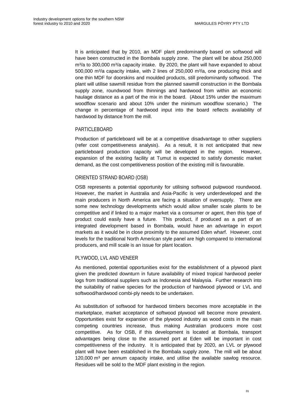It is anticipated that by 2010, an MDF plant predominantly based on softwood will have been constructed in the Bombala supply zone. The plant will be about 250,000  $m<sup>3</sup>/a$  to 300,000  $m<sup>3</sup>/a$  capacity intake. By 2020, the plant will have expanded to about  $500,000$  m $\frac{3}{2}$  capacity intake, with 2 lines of 250,000 m $\frac{3}{2}$ , one producing thick and one thin MDF for doorskins and moulded products, still predominantly softwood. The plant will utilise sawmill residue from the planned sawmill construction in the Bombala supply zone, roundwood from thinnings and hardwood from within an economic haulage distance as a part of the mix in the board. (About 15% under the maximum woodflow scenario and about 10% under the minimum woodflow scenario.) The change in percentage of hardwood input into the board reflects availability of hardwood by distance from the mill.

#### PARTICLEBOARD

Production of particleboard will be at a competitive disadvantage to other suppliers (refer cost competitiveness analysis). As a result, it is not anticipated that new particleboard production capacity will be developed in the region. However, expansion of the existing facility at Tumut is expected to satisfy domestic market demand, as the cost competitiveness position of the existing mill is favourable.

#### ORIENTED STRAND BOARD (OSB)

OSB represents a potential opportunity for utilising softwood pulpwood roundwood. However, the market in Australia and Asia-Pacific is very underdeveloped and the main producers in North America are facing a situation of oversupply. There are some new technology developments which would allow smaller scale plants to be competitive and if linked to a major market via a consumer or agent, then this type of product could easily have a future. This product, if produced as a part of an integrated development based in Bombala, would have an advantage in export markets as it would be in close proximity to the assumed Eden wharf. However, cost levels for the traditional North American style panel are high compared to international producers, and mill scale is an issue for plant location.

#### PLYWOOD, LVL AND VENEER

As mentioned, potential opportunities exist for the establishment of a plywood plant given the predicted downturn in future availability of mixed tropical hardwood peeler logs from traditional suppliers such as Indonesia and Malaysia. Further research into the suitability of native species for the production of hardwood plywood or LVL and softwood/hardwood combi-ply needs to be undertaken.

As substitution of softwood for hardwood timbers becomes more acceptable in the marketplace, market acceptance of softwood plywood will become more prevalent. Opportunities exist for expansion of the plywood industry as wood costs in the main competing countries increase, thus making Australian producers more cost competitive. As for OSB, if this development is located at Bombala, transport advantages being close to the assumed port at Eden will be important in cost competitiveness of the industry. It is anticipated that by 2020, an LVL or plywood plant will have been established in the Bombala supply zone. The mill will be about  $120,000$  m<sup>3</sup> per annum capacity intake, and utilise the available sawlog resource. Residues will be sold to the MDF plant existing in the region.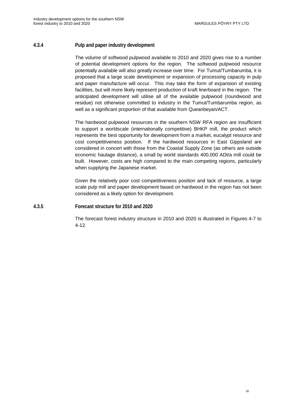#### <span id="page-47-0"></span>**4.3.4 Pulp and paper industry development**

The volume of softwood pulpwood available to 2010 and 2020 gives rise to a number of potential development options for the region. The softwood pulpwood resource potentially available will also greatly increase over time. For Tumut/Tumbarumba, it is proposed that a large scale development or expansion of processing capacity in pulp and paper manufacture will occur. This may take the form of expansion of existing facilities, but will more likely represent production of kraft linerboard in the region. The anticipated development will utilise all of the available pulpwood (roundwood and residue) not otherwise committed to industry in the Tumut/Tumbarumba region, as well as a significant proportion of that available from Queanbeyan/ACT.

The hardwood pulpwood resources in the southern NSW RFA region are insufficient to support a worldscale (internationally competitive) BHKP mill, the product which represents the best opportunity for development from a market, eucalypt resource and cost competitiveness position. If the hardwood resources in East Gippsland are considered in concert with those from the Coastal Supply Zone (as others are outside economic haulage distance), a small by world standards 400,000 ADt/a mill could be built. However, costs are high compared to the main competing regions, particularly when supplying the Japanese market.

Given the relatively poor cost competitiveness position and lack of resource, a large scale pulp mill and paper development based on hardwood in the region has not been considered as a likely option for development.

#### **4.3.5 Forecast structure for 2010 and 2020**

The forecast forest industry structure in 2010 and 2020 is illustrated in Figures 4-7 to 4-12.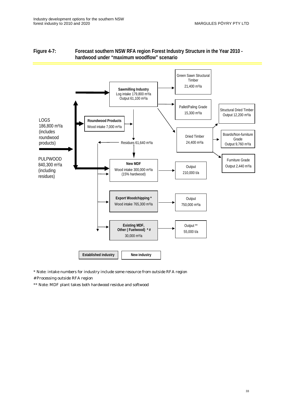

#### <span id="page-48-0"></span>**Figure 4-7: Forecast southern NSW RFA region Forest Industry Structure in the Year 2010 hardwood under "maximum woodflow" scenario**

\* Note: intake numbers for industry include some resource from outside RFA region

# Processing outside RFA region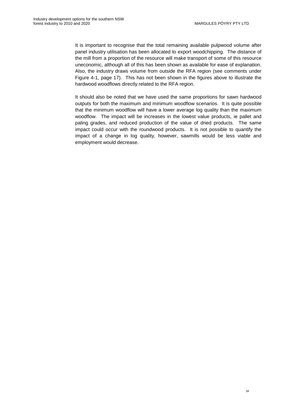It is important to recognise that the total remaining available pulpwood volume after panel industry utilisation has been allocated to export woodchipping. The distance of the mill from a proportion of the resource will make transport of some of this resource uneconomic, although all of this has been shown as available for ease of explanation. Also, the industry draws volume from outside the RFA region (see comments under Figure 4-1, page 17). This has not been shown in the figures above to illustrate the hardwood woodflows directly related to the RFA region.

It should also be noted that we have used the same proportions for sawn hardwood outputs for both the maximum and minimum woodflow scenarios. It is quite possible that the minimum woodflow will have a lower average log quality than the maximum woodflow. The impact will be increases in the lowest value products, ie pallet and paling grades, and reduced production of the value of dried products. The same impact could occur with the roundwood products. It is not possible to quantify the impact of a change in log quality, however, sawmills would be less viable and employment would decrease.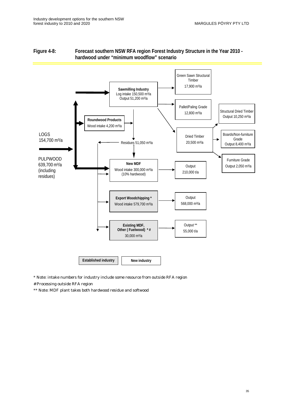

#### <span id="page-50-0"></span>**Figure 4-8: Forecast southern NSW RFA region Forest Industry Structure in the Year 2010 hardwood under "minimum woodflow" scenario**

\* Note: intake numbers for industry include some resource from outside RFA region

# Processing outside RFA region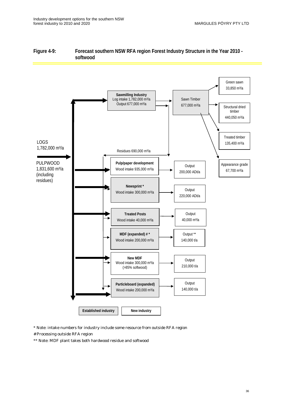<span id="page-51-0"></span>



\* Note: intake numbers for industry include some resource from outside RFA region

# Processing outside RFA region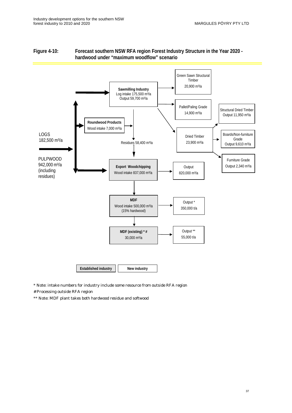

#### <span id="page-52-0"></span>**Figure 4-10: Forecast southern NSW RFA region Forest Industry Structure in the Year 2020 hardwood under "maximum woodflow" scenario**

\* Note: intake numbers for industry include some resource from outside RFA region

# Processing outside RFA region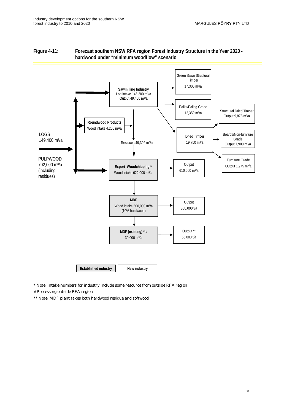

#### <span id="page-53-0"></span>**Figure 4-11: Forecast southern NSW RFA region Forest Industry Structure in the Year 2020 hardwood under "minimum woodflow" scenario**

\* Note: intake numbers for industry include some resource from outside RFA region

# Processing outside RFA region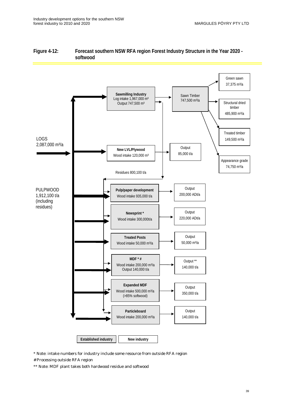

#### <span id="page-54-0"></span>**Figure 4-12: Forecast southern NSW RFA region Forest Industry Structure in the Year 2020 softwood**

- \* Note: intake numbers for industry include some resource from outside RFA region
- # Processing outside RFA region
- \*\* Note: MDF plant takes both hardwood residue and softwood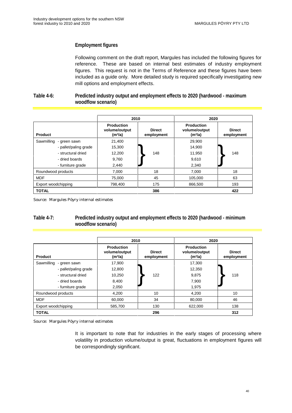#### <span id="page-55-0"></span>**Employment figures**

Following comment on the draft report, Margules has included the following figures for reference. These are based on internal best estimates of industry employment figures. This request is not in the Terms of Reference and these figures have been included as a guide only. More detailed study is required specifically investigating new mill options and employment effects.

#### **Table 4-6: Predicted industry output and employment effects to 2020 (hardwood - maximum woodflow scenario)**

|                            | 2010                                                      |                             | 2020                                                      |                             |  |
|----------------------------|-----------------------------------------------------------|-----------------------------|-----------------------------------------------------------|-----------------------------|--|
| <b>Product</b>             | <b>Production</b><br>volume/output<br>(m <sup>3</sup> /a) | <b>Direct</b><br>employment | <b>Production</b><br>volume/output<br>(m <sup>3</sup> /a) | <b>Direct</b><br>employment |  |
| Sawmilling<br>- green sawn | 21,400                                                    |                             | 29,900                                                    |                             |  |
| - pallet/paling grade      | 15,300                                                    |                             | 14,900                                                    |                             |  |
| - structural dried         | 12,200                                                    | 148                         | 11,950                                                    | 148                         |  |
| - dried boards             | 9,760                                                     |                             | 9,610                                                     |                             |  |
| - furniture grade          | 2,440                                                     |                             | 2,340                                                     |                             |  |
| Roundwood products         | 7,000                                                     | 18                          | 7,000                                                     | 18                          |  |
| <b>MDF</b>                 | 75,000                                                    | 45                          | 105.000                                                   | 63                          |  |
| Export woodchipping        | 798,400                                                   | 175                         | 866,500                                                   | 193                         |  |
| <b>TOTAL</b>               |                                                           | 386                         |                                                           | 422                         |  |

Source: Margules Pöyry internal estimates

#### **Table 4-7: Predicted industry output and employment effects to 2020 (hardwood - minimum woodflow scenario)**

|                            | 2010                                                      |                             | 2020                                                      |                             |  |
|----------------------------|-----------------------------------------------------------|-----------------------------|-----------------------------------------------------------|-----------------------------|--|
| <b>Product</b>             | <b>Production</b><br>volume/output<br>(m <sup>3</sup> /a) | <b>Direct</b><br>employment | <b>Production</b><br>volume/output<br>(m <sup>3</sup> /a) | <b>Direct</b><br>employment |  |
| Sawmilling<br>- green sawn | 17.900                                                    |                             | 17.300                                                    |                             |  |
| - pallet/paling grade      | 12,800                                                    |                             | 12,350                                                    |                             |  |
| - structural dried         | 10,250                                                    | 122                         | 9,875                                                     | 118                         |  |
| - dried boards             | 8,400                                                     |                             | 7,900                                                     |                             |  |
| - furniture grade          | 2,050                                                     |                             | 1,975                                                     |                             |  |
| Roundwood products         | 4.200                                                     | 10                          | 4.200                                                     | 10                          |  |
| <b>MDF</b>                 | 60.000                                                    | 34                          | 80.000                                                    | 46                          |  |
| Export woodchipping        | 585,700                                                   | 130                         | 622,000                                                   | 138                         |  |
| <b>TOTAL</b>               |                                                           | 296                         |                                                           | 312                         |  |

Source: Margules Pöyry internal estimates

It is important to note that for industries in the early stages of processing where volatility in production volume/output is great, fluctuations in employment figures will be correspondingly significant.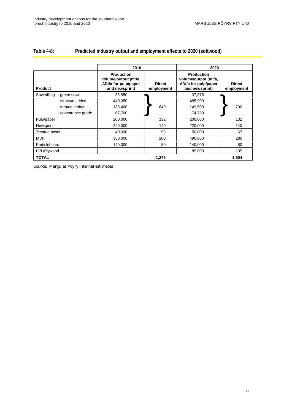#### <span id="page-56-0"></span>**Table 4-8: Predicted industry output and employment effects to 2020 (softwood)**

|                         | 2010                                                                                             |                             | 2020                                                                                             |                             |  |
|-------------------------|--------------------------------------------------------------------------------------------------|-----------------------------|--------------------------------------------------------------------------------------------------|-----------------------------|--|
| <b>Product</b>          | <b>Production</b><br>volume/output (m <sup>3</sup> /a,<br>ADt/a for pulp/paper<br>and newsprint) | <b>Direct</b><br>employment | <b>Production</b><br>volume/output (m <sup>3</sup> /a,<br>ADt/a for pulp/paper<br>and newsprint) | <b>Direct</b><br>employment |  |
| Sawmilling - green sawn | 33,850                                                                                           |                             | 37,375                                                                                           |                             |  |
| - structural dried      | 440,050                                                                                          |                             | 485,900                                                                                          |                             |  |
| - treated timber        | 135,400                                                                                          | 640                         | 149,500                                                                                          | 700                         |  |
| - appearance grade      | 67,700                                                                                           |                             | 74,750                                                                                           |                             |  |
| Pulp/paper              | 200,000                                                                                          | 132                         | 200,000                                                                                          | 132                         |  |
| Newsprint               | 220,000                                                                                          | 140                         | 220,000                                                                                          | 140                         |  |
| <b>Treated posts</b>    | 40,000                                                                                           | 53                          | 50,000                                                                                           | 67                          |  |
| <b>MDF</b>              | 350,000                                                                                          | 200                         | 490,000                                                                                          | 280                         |  |
| Particleboard           | 140,000                                                                                          | 80                          | 140,000                                                                                          | 80                          |  |
| LVL/Plywood             |                                                                                                  |                             | 85,000                                                                                           | 105                         |  |
| <b>TOTAL</b>            |                                                                                                  | 1,245                       |                                                                                                  | 1,504                       |  |

Source: Margules Pöyry internal estimates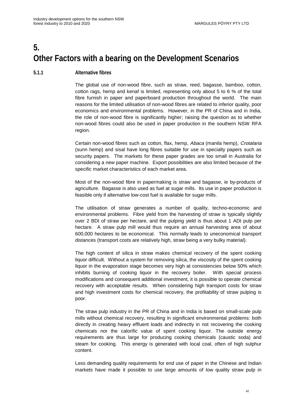# <span id="page-57-0"></span>**5. Other Factors with a bearing on the Development Scenarios**

#### **5.1.1 Alternative fibres**

The global use of non-wood fibre, such as straw, reed, bagasse, bamboo, cotton, cotton rags, hemp and kenaf is limited, representing only about 5 to 6 % of the total fibre furnish in paper and paperboard production throughout the world. The main reasons for the limited utilisation of non-wood fibres are related to inferior quality, poor economics and environmental problems. However, in the PR of China and in India, the role of non-wood fibre is significantly higher; raising the question as to whether non-wood fibres could also be used in paper production in the southern NSW RFA region.

Certain non-wood fibres such as cotton, flax, hemp, Abaca (manila hemp), Crotalaria (sunn hemp) and sisal have long fibres suitable for use in specialty papers such as security papers. The markets for these paper grades are too small in Australia for considering a new paper machine. Export possibilities are also limited because of the specific market characteristics of each market area.

Most of the non-wood fibre in papermaking is straw and bagasse, ie by-products of agriculture. Bagasse is also used as fuel at sugar mills. Its use in paper production is feasible only if alternative low-cost fuel is available for sugar mills.

The utilisation of straw generates a number of quality, techno-economic and environmental problems. Fibre yield from the harvesting of straw is typically slightly over 2 BDt of straw per hectare, and the pulping yield is thus about 1 ADt pulp per hectare. A straw pulp mill would thus require an annual harvesting area of about 600,000 hectares to be economical. This normally leads to uneconomical transport distances (transport costs are relatively high, straw being a very bulky material).

The high content of silica in straw makes chemical recovery of the spent cooking liquor difficult. Without a system for removing silica, the viscosity of the spent cooking liquor in the evaporation stage becomes very high at consistencies below 50% which inhibits burning of cooking liquor in the recovery boiler. With special process modifications and consequent additional investment, it is possible to operate chemical recovery with acceptable results. When considering high transport costs for straw and high investment costs for chemical recovery, the profitability of straw pulping is poor.

The straw pulp industry in the PR of China and in India is based on small-scale pulp mills without chemical recovery, resulting in significant environmental problems: both directly in creating heavy effluent loads and indirectly in not recovering the cooking chemicals nor the calorific value of spent cooking liquor. The outside energy requirements are thus large for producing cooking chemicals (caustic soda) and steam for cooking. This energy is generated with local coal, often of high sulphur content.

Less demanding quality requirements for end use of paper in the Chinese and Indian markets have made it possible to use large amounts of low quality straw pulp in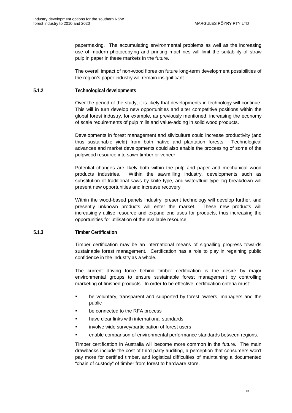<span id="page-58-0"></span>papermaking. The accumulating environmental problems as well as the increasing use of modern photocopying and printing machines will limit the suitability of straw pulp in paper in these markets in the future.

The overall impact of non-wood fibres on future long-term development possibilities of the region's paper industry will remain insignificant.

#### **5.1.2 Technological developments**

Over the period of the study, it is likely that developments in technology will continue. This will in turn develop new opportunities and alter competitive positions within the global forest industry, for example, as previously mentioned, increasing the economy of scale requirements of pulp mills and value-adding in solid wood products.

Developments in forest management and silviculture could increase productivity (and thus sustainable yield) from both native and plantation forests. Technological advances and market developments could also enable the processing of some of the pulpwood resource into sawn timber or veneer.

Potential changes are likely both within the pulp and paper and mechanical wood products industries. Within the sawmilling industry, developments such as substitution of traditional saws by knife type, and water/fluid type log breakdown will present new opportunities and increase recovery.

Within the wood-based panels industry, present technology will develop further, and presently unknown products will enter the market. These new products will increasingly utilise resource and expand end uses for products, thus increasing the opportunities for utilisation of the available resource.

#### **5.1.3 Timber Certification**

Timber certification may be an international means of signalling progress towards sustainable forest management. Certification has a role to play in regaining public confidence in the industry as a whole.

The current driving force behind timber certification is the desire by major environmental groups to ensure sustainable forest management by controlling marketing of finished products. In order to be effective, certification criteria must:

- be voluntary, transparent and supported by forest owners, managers and the public
- be connected to the RFA process
- **•** have clear links with international standards
- **EXECUTE:** involve wide survey/participation of forest users
- enable comparison of environmental performance standards between regions.

Timber certification in Australia will become more common in the future. The main drawbacks include the cost of third party auditing, a perception that consumers won't pay more for certified timber, and logistical difficulties of maintaining a documented "chain of custody" of timber from forest to hardware store.